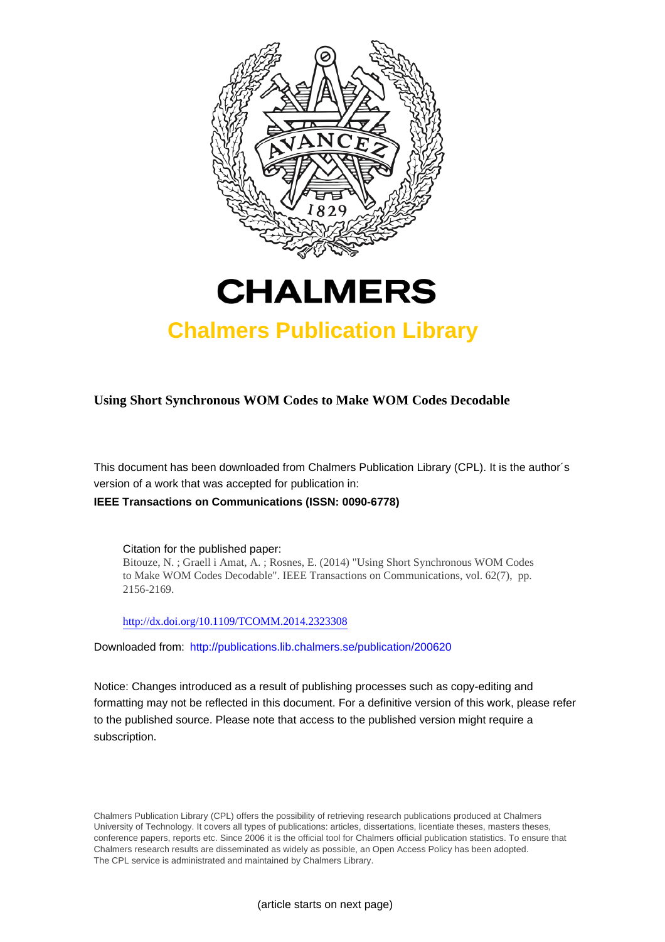



## **Chalmers Publication Library**

**Using Short Synchronous WOM Codes to Make WOM Codes Decodable**

This document has been downloaded from Chalmers Publication Library (CPL). It is the author´s version of a work that was accepted for publication in:

**IEEE Transactions on Communications (ISSN: 0090-6778)**

Citation for the published paper: Bitouze, N. ; Graell i Amat, A. ; Rosnes, E. (2014) "Using Short Synchronous WOM Codes to Make WOM Codes Decodable". IEEE Transactions on Communications, vol. 62(7), pp. 2156-2169.

<http://dx.doi.org/10.1109/TCOMM.2014.2323308>

Downloaded from: <http://publications.lib.chalmers.se/publication/200620>

Notice: Changes introduced as a result of publishing processes such as copy-editing and formatting may not be reflected in this document. For a definitive version of this work, please refer to the published source. Please note that access to the published version might require a subscription.

Chalmers Publication Library (CPL) offers the possibility of retrieving research publications produced at Chalmers University of Technology. It covers all types of publications: articles, dissertations, licentiate theses, masters theses, conference papers, reports etc. Since 2006 it is the official tool for Chalmers official publication statistics. To ensure that Chalmers research results are disseminated as widely as possible, an Open Access Policy has been adopted. The CPL service is administrated and maintained by Chalmers Library.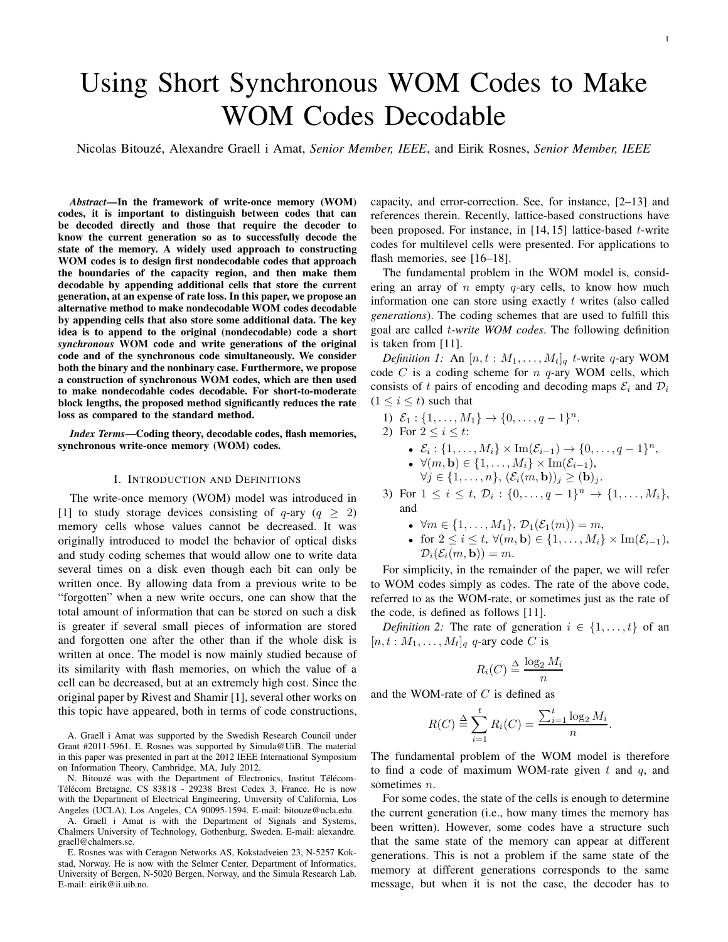# Using Short Synchronous WOM Codes to Make WOM Codes Decodable

Nicolas Bitouz´e, Alexandre Graell i Amat, *Senior Member, IEEE*, and Eirik Rosnes, *Senior Member, IEEE*

*Abstract*—In the framework of write-once memory (WOM) codes, it is important to distinguish between codes that can be decoded directly and those that require the decoder to know the current generation so as to successfully decode the state of the memory. A widely used approach to constructing WOM codes is to design first nondecodable codes that approach the boundaries of the capacity region, and then make them decodable by appending additional cells that store the current generation, at an expense of rate loss. In this paper, we propose an alternative method to make nondecodable WOM codes decodable by appending cells that also store some additional data. The key idea is to append to the original (nondecodable) code a short *synchronous* WOM code and write generations of the original code and of the synchronous code simultaneously. We consider both the binary and the nonbinary case. Furthermore, we propose a construction of synchronous WOM codes, which are then used to make nondecodable codes decodable. For short-to-moderate block lengths, the proposed method significantly reduces the rate loss as compared to the standard method.

*Index Terms*—Coding theory, decodable codes, flash memories, synchronous write-once memory (WOM) codes.

#### I. INTRODUCTION AND DEFINITIONS

The write-once memory (WOM) model was introduced in [1] to study storage devices consisting of q-ary ( $q \ge 2$ ) memory cells whose values cannot be decreased. It was originally introduced to model the behavior of optical disks and study coding schemes that would allow one to write data several times on a disk even though each bit can only be written once. By allowing data from a previous write to be "forgotten" when a new write occurs, one can show that the total amount of information that can be stored on such a disk is greater if several small pieces of information are stored and forgotten one after the other than if the whole disk is written at once. The model is now mainly studied because of its similarity with flash memories, on which the value of a cell can be decreased, but at an extremely high cost. Since the original paper by Rivest and Shamir [1], several other works on this topic have appeared, both in terms of code constructions,

A. Graell i Amat was supported by the Swedish Research Council under Grant #2011-5961. E. Rosnes was supported by Simula@UiB. The material in this paper was presented in part at the 2012 IEEE International Symposium on Information Theory, Cambridge, MA, July 2012.

N. Bitouzé was with the Department of Electronics, Institut Télécom-Télécom Bretagne, CS 83818 - 29238 Brest Cedex 3, France. He is now with the Department of Electrical Engineering, University of California, Los Angeles (UCLA), Los Angeles, CA 90095-1594. E-mail: bitouze@ucla.edu.

A. Graell i Amat is with the Department of Signals and Systems, Chalmers University of Technology, Gothenburg, Sweden. E-mail: alexandre. graell@chalmers.se.

E. Rosnes was with Ceragon Networks AS, Kokstadveien 23, N-5257 Kokstad, Norway. He is now with the Selmer Center, Department of Informatics, University of Bergen, N-5020 Bergen, Norway, and the Simula Research Lab. E-mail: eirik@ii.uib.no.

capacity, and error-correction. See, for instance, [2–13] and references therein. Recently, lattice-based constructions have been proposed. For instance, in  $[14, 15]$  lattice-based t-write codes for multilevel cells were presented. For applications to flash memories, see [16–18].

The fundamental problem in the WOM model is, considering an array of  $n$  empty  $q$ -ary cells, to know how much information one can store using exactly  $t$  writes (also called *generations*). The coding schemes that are used to fulfill this goal are called t*-write WOM codes*. The following definition is taken from [11].

*Definition 1:* An  $[n, t : M_1, \ldots, M_t]_q$  *t*-write *q*-ary WOM code  $C$  is a coding scheme for  $n$   $q$ -ary WOM cells, which consists of t pairs of encoding and decoding maps  $\mathcal{E}_i$  and  $\mathcal{D}_i$  $(1 \leq i \leq t)$  such that

- 1)  $\mathcal{E}_1: \{1, \ldots, M_1\} \to \{0, \ldots, q-1\}^n$ . 2) For  $2 < i < t$ : •  $\mathcal{E}_i: \{1, ..., M_i\} \times \text{Im}(\mathcal{E}_{i-1}) \to \{0, ..., q-1\}^n$ , •  $\forall (m, \mathbf{b}) \in \{1, \ldots, M_i\} \times \text{Im}(\mathcal{E}_{i-1}),$  $\forall j \in \{1, \ldots, n\}, \, (\mathcal{E}_i(m, \mathbf{b}))_j \geq (\mathbf{b})_j.$
- 3) For  $1 \leq i \leq t$ ,  $\mathcal{D}_i : \{0, \ldots, q-1\}^n \to \{1, \ldots, M_i\}$ , and
	- $\forall m \in \{1, ..., M_1\}, \, \mathcal{D}_1(\mathcal{E}_1(m)) = m,$
	- for  $2 \leq i \leq t$ ,  $\forall (m, \mathbf{b}) \in \{1, \ldots, M_i\} \times \text{Im}(\mathcal{E}_{i-1}),$  $\mathcal{D}_i(\mathcal{E}_i(m, \mathbf{b})) = m$ .

For simplicity, in the remainder of the paper, we will refer to WOM codes simply as codes. The rate of the above code, referred to as the WOM-rate, or sometimes just as the rate of the code, is defined as follows [11].

*Definition 2:* The rate of generation  $i \in \{1, \ldots, t\}$  of an  $[n, t : M_1, \ldots, M_t]_q$  q-ary code C is

$$
R_i(C) \stackrel{\Delta}{=} \frac{\log_2 M_i}{n}
$$

and the WOM-rate of  $C$  is defined as

$$
R(C) \stackrel{\Delta}{=} \sum_{i=1}^{t} R_i(C) = \frac{\sum_{i=1}^{t} \log_2 M_i}{n}.
$$

The fundamental problem of the WOM model is therefore to find a code of maximum WOM-rate given  $t$  and  $q$ , and sometimes *n*.

For some codes, the state of the cells is enough to determine the current generation (i.e., how many times the memory has been written). However, some codes have a structure such that the same state of the memory can appear at different generations. This is not a problem if the same state of the memory at different generations corresponds to the same message, but when it is not the case, the decoder has to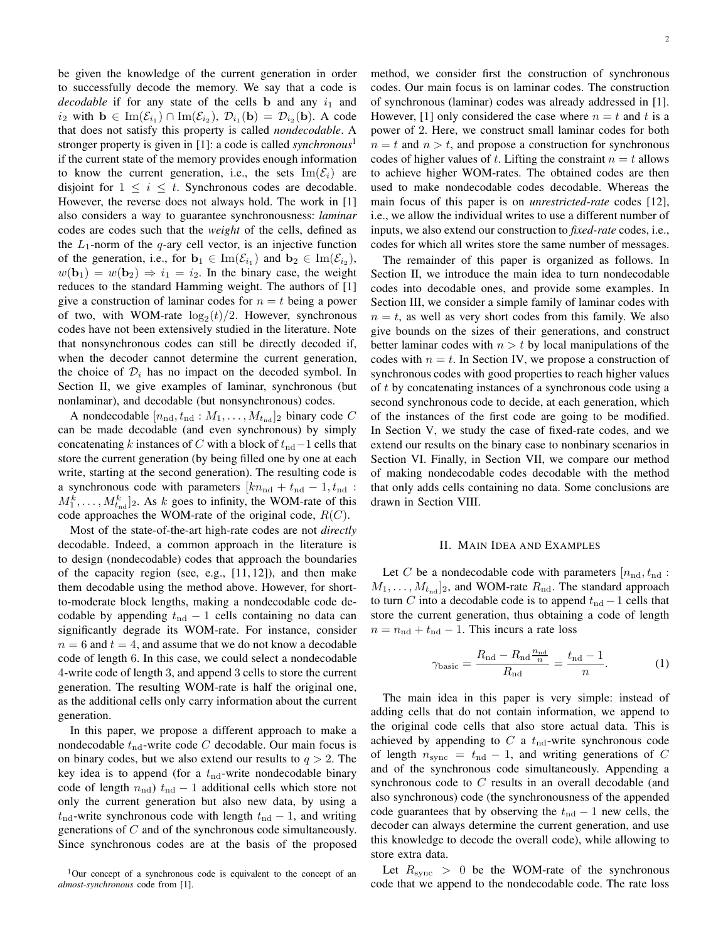be given the knowledge of the current generation in order to successfully decode the memory. We say that a code is *decodable* if for any state of the cells **b** and any  $i_1$  and  $i_2$  with  $\mathbf{b} \in \text{Im}(\mathcal{E}_{i_1}) \cap \text{Im}(\mathcal{E}_{i_2})$ ,  $\mathcal{D}_{i_1}(\mathbf{b}) = \mathcal{D}_{i_2}(\mathbf{b})$ . A code that does not satisfy this property is called *nondecodable*. A stronger property is given in [1]: a code is called *synchronous*<sup>1</sup> if the current state of the memory provides enough information to know the current generation, i.e., the sets  $\text{Im}(\mathcal{E}_i)$  are disjoint for  $1 \leq i \leq t$ . Synchronous codes are decodable. However, the reverse does not always hold. The work in [1] also considers a way to guarantee synchronousness: *laminar* codes are codes such that the *weight* of the cells, defined as the  $L_1$ -norm of the q-ary cell vector, is an injective function of the generation, i.e., for  $\mathbf{b}_1 \in \text{Im}(\mathcal{E}_{i_1})$  and  $\mathbf{b}_2 \in \text{Im}(\mathcal{E}_{i_2})$ ,  $w(\mathbf{b}_1) = w(\mathbf{b}_2) \Rightarrow i_1 = i_2$ . In the binary case, the weight reduces to the standard Hamming weight. The authors of [1] give a construction of laminar codes for  $n = t$  being a power of two, with WOM-rate  $\log_2(t)/2$ . However, synchronous codes have not been extensively studied in the literature. Note that nonsynchronous codes can still be directly decoded if, when the decoder cannot determine the current generation, the choice of  $\mathcal{D}_i$  has no impact on the decoded symbol. In Section II, we give examples of laminar, synchronous (but nonlaminar), and decodable (but nonsynchronous) codes.

A nondecodable  $[n_{\text{nd}}, t_{\text{nd}} : M_1, \ldots, M_{t_{\text{nd}}}]_2$  binary code C can be made decodable (and even synchronous) by simply concatenating k instances of C with a block of  $t_{nd}$ −1 cells that store the current generation (by being filled one by one at each write, starting at the second generation). The resulting code is a synchronous code with parameters  $[kn_{\text{nd}} + t_{\text{nd}} - 1, t_{\text{nd}}]$ :  $M_1^k, \ldots, M_{t_{\rm nd}}^k]_2$ . As k goes to infinity, the WOM-rate of this code approaches the WOM-rate of the original code,  $R(C)$ .

Most of the state-of-the-art high-rate codes are not *directly* decodable. Indeed, a common approach in the literature is to design (nondecodable) codes that approach the boundaries of the capacity region (see, e.g., [11, 12]), and then make them decodable using the method above. However, for shortto-moderate block lengths, making a nondecodable code decodable by appending  $t_{\text{nd}} - 1$  cells containing no data can significantly degrade its WOM-rate. For instance, consider  $n = 6$  and  $t = 4$ , and assume that we do not know a decodable code of length 6. In this case, we could select a nondecodable 4-write code of length 3, and append 3 cells to store the current generation. The resulting WOM-rate is half the original one, as the additional cells only carry information about the current generation.

In this paper, we propose a different approach to make a nondecodable  $t_{\text{nd}}$ -write code  $C$  decodable. Our main focus is on binary codes, but we also extend our results to  $q > 2$ . The key idea is to append (for a  $t_{\text{nd}}$ -write nondecodable binary code of length  $n_{\text{nd}}$ )  $t_{\text{nd}} - 1$  additional cells which store not only the current generation but also new data, by using a  $t_{\rm nd}$ -write synchronous code with length  $t_{\rm nd} - 1$ , and writing generations of  $C$  and of the synchronous code simultaneously. Since synchronous codes are at the basis of the proposed method, we consider first the construction of synchronous codes. Our main focus is on laminar codes. The construction of synchronous (laminar) codes was already addressed in [1]. However, [1] only considered the case where  $n = t$  and t is a power of 2. Here, we construct small laminar codes for both  $n = t$  and  $n > t$ , and propose a construction for synchronous codes of higher values of t. Lifting the constraint  $n = t$  allows to achieve higher WOM-rates. The obtained codes are then used to make nondecodable codes decodable. Whereas the main focus of this paper is on *unrestricted-rate* codes [12], i.e., we allow the individual writes to use a different number of inputs, we also extend our construction to *fixed-rate* codes, i.e., codes for which all writes store the same number of messages.

The remainder of this paper is organized as follows. In Section II, we introduce the main idea to turn nondecodable codes into decodable ones, and provide some examples. In Section III, we consider a simple family of laminar codes with  $n = t$ , as well as very short codes from this family. We also give bounds on the sizes of their generations, and construct better laminar codes with  $n > t$  by local manipulations of the codes with  $n = t$ . In Section IV, we propose a construction of synchronous codes with good properties to reach higher values of t by concatenating instances of a synchronous code using a second synchronous code to decide, at each generation, which of the instances of the first code are going to be modified. In Section V, we study the case of fixed-rate codes, and we extend our results on the binary case to nonbinary scenarios in Section VI. Finally, in Section VII, we compare our method of making nondecodable codes decodable with the method that only adds cells containing no data. Some conclusions are drawn in Section VIII.

#### II. MAIN IDEA AND EXAMPLES

Let C be a nondecodable code with parameters  $[n_{\text{nd}}, t_{\text{nd}}]$ :  $M_1, \ldots, M_{t_{\rm nd}}]_2$ , and WOM-rate  $R_{\rm nd}$ . The standard approach to turn C into a decodable code is to append  $t_{\text{nd}} - 1$  cells that store the current generation, thus obtaining a code of length  $n = n_{\text{nd}} + t_{\text{nd}} - 1$ . This incurs a rate loss

$$
\gamma_{\text{basic}} = \frac{R_{\text{nd}} - R_{\text{nd}} \frac{n_{\text{nd}}}{n}}{R_{\text{nd}}} = \frac{t_{\text{nd}} - 1}{n}.
$$
 (1)

The main idea in this paper is very simple: instead of adding cells that do not contain information, we append to the original code cells that also store actual data. This is achieved by appending to  $C$  a  $t_{\text{nd}}$ -write synchronous code of length  $n_{\text{sync}} = t_{\text{nd}} - 1$ , and writing generations of C and of the synchronous code simultaneously. Appending a synchronous code to C results in an overall decodable (and also synchronous) code (the synchronousness of the appended code guarantees that by observing the  $t_{\text{nd}} - 1$  new cells, the decoder can always determine the current generation, and use this knowledge to decode the overall code), while allowing to store extra data.

Let  $R_{\rm sync} > 0$  be the WOM-rate of the synchronous code that we append to the nondecodable code. The rate loss

 $1$ Our concept of a synchronous code is equivalent to the concept of an *almost-synchronous* code from [1].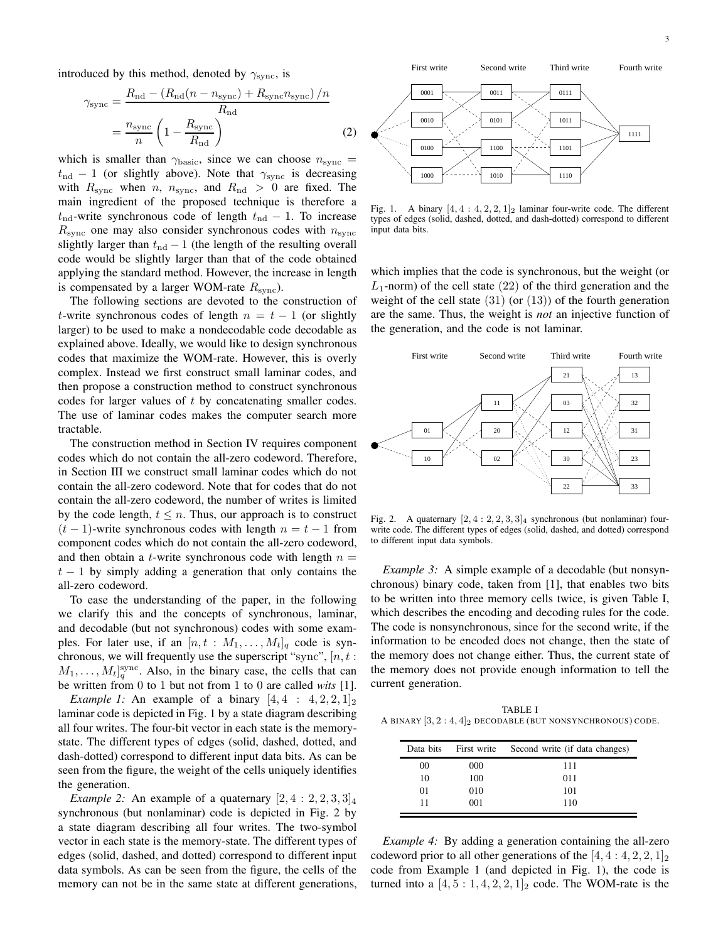introduced by this method, denoted by  $\gamma_{\rm sync}$ , is

$$
\gamma_{\text{sync}} = \frac{R_{\text{nd}} - (R_{\text{nd}}(n - n_{\text{sync}}) + R_{\text{sync}} n_{\text{sync}})}{R_{\text{nd}}}
$$

$$
= \frac{n_{\text{sync}}}{n} \left( 1 - \frac{R_{\text{sync}}}{R_{\text{nd}}} \right) \tag{2}
$$

which is smaller than  $\gamma_{\text{basic}}$ , since we can choose  $n_{\text{sync}} =$  $t_{\rm nd}$  − 1 (or slightly above). Note that  $\gamma_{\rm sync}$  is decreasing with  $R_{\rm sync}$  when n,  $n_{\rm sync}$ , and  $R_{\rm nd} > 0$  are fixed. The main ingredient of the proposed technique is therefore a  $t_{\rm nd}$ -write synchronous code of length  $t_{\rm nd}$  – 1. To increase  $R_{\rm sync}$  one may also consider synchronous codes with  $n_{\rm sync}$ slightly larger than  $t_{\text{nd}} - 1$  (the length of the resulting overall code would be slightly larger than that of the code obtained applying the standard method. However, the increase in length is compensated by a larger WOM-rate  $R_{\rm sync}$ ).

The following sections are devoted to the construction of t-write synchronous codes of length  $n = t - 1$  (or slightly larger) to be used to make a nondecodable code decodable as explained above. Ideally, we would like to design synchronous codes that maximize the WOM-rate. However, this is overly complex. Instead we first construct small laminar codes, and then propose a construction method to construct synchronous codes for larger values of t by concatenating smaller codes. The use of laminar codes makes the computer search more tractable.

The construction method in Section IV requires component codes which do not contain the all-zero codeword. Therefore, in Section III we construct small laminar codes which do not contain the all-zero codeword. Note that for codes that do not contain the all-zero codeword, the number of writes is limited by the code length,  $t \leq n$ . Thus, our approach is to construct  $(t-1)$ -write synchronous codes with length  $n = t - 1$  from component codes which do not contain the all-zero codeword, and then obtain a t-write synchronous code with length  $n =$  $t - 1$  by simply adding a generation that only contains the all-zero codeword.

To ease the understanding of the paper, in the following we clarify this and the concepts of synchronous, laminar, and decodable (but not synchronous) codes with some examples. For later use, if an  $[n, t : M_1, \ldots, M_t]_q$  code is synchronous, we will frequently use the superscript "sync",  $[n, t]$ :  $[M_1, \ldots, M_t]_q^{\text{sync}}$ . Also, in the binary case, the cells that can be written from 0 to 1 but not from 1 to 0 are called *wits* [1].

*Example 1:* An example of a binary  $[4, 4 : 4, 2, 2, 1]_2$ laminar code is depicted in Fig. 1 by a state diagram describing all four writes. The four-bit vector in each state is the memorystate. The different types of edges (solid, dashed, dotted, and dash-dotted) correspond to different input data bits. As can be seen from the figure, the weight of the cells uniquely identifies the generation.

*Example 2:* An example of a quaternary  $[2, 4: 2, 2, 3, 3]_4$ synchronous (but nonlaminar) code is depicted in Fig. 2 by a state diagram describing all four writes. The two-symbol vector in each state is the memory-state. The different types of edges (solid, dashed, and dotted) correspond to different input data symbols. As can be seen from the figure, the cells of the memory can not be in the same state at different generations,



Fig. 1. A binary  $[4, 4 : 4, 2, 2, 1]_2$  laminar four-write code. The different types of edges (solid, dashed, dotted, and dash-dotted) correspond to different input data bits.

which implies that the code is synchronous, but the weight (or  $L_1$ -norm) of the cell state  $(22)$  of the third generation and the weight of the cell state  $(31)$  (or  $(13)$ ) of the fourth generation are the same. Thus, the weight is *not* an injective function of the generation, and the code is not laminar.



Fig. 2. A quaternary  $[2, 4: 2, 2, 3, 3]_4$  synchronous (but nonlaminar) fourwrite code. The different types of edges (solid, dashed, and dotted) correspond to different input data symbols.

*Example 3:* A simple example of a decodable (but nonsynchronous) binary code, taken from [1], that enables two bits to be written into three memory cells twice, is given Table I, which describes the encoding and decoding rules for the code. The code is nonsynchronous, since for the second write, if the information to be encoded does not change, then the state of the memory does not change either. Thus, the current state of the memory does not provide enough information to tell the current generation.

TABLE I A BINARY  $[3, 2:4, 4]_2$  DECODABLE (BUT NONSYNCHRONOUS) CODE.

| Data bits | First write | Second write (if data changes) |
|-----------|-------------|--------------------------------|
| 00        | 000         | 111                            |
| 10        | 100         | 011                            |
| $_{01}$   | 010         | 101                            |
| 11        | 001         | 110                            |

*Example 4:* By adding a generation containing the all-zero codeword prior to all other generations of the  $[4, 4: 4, 2, 2, 1]_2$ code from Example 1 (and depicted in Fig. 1), the code is turned into a  $[4, 5 : 1, 4, 2, 2, 1]_2$  code. The WOM-rate is the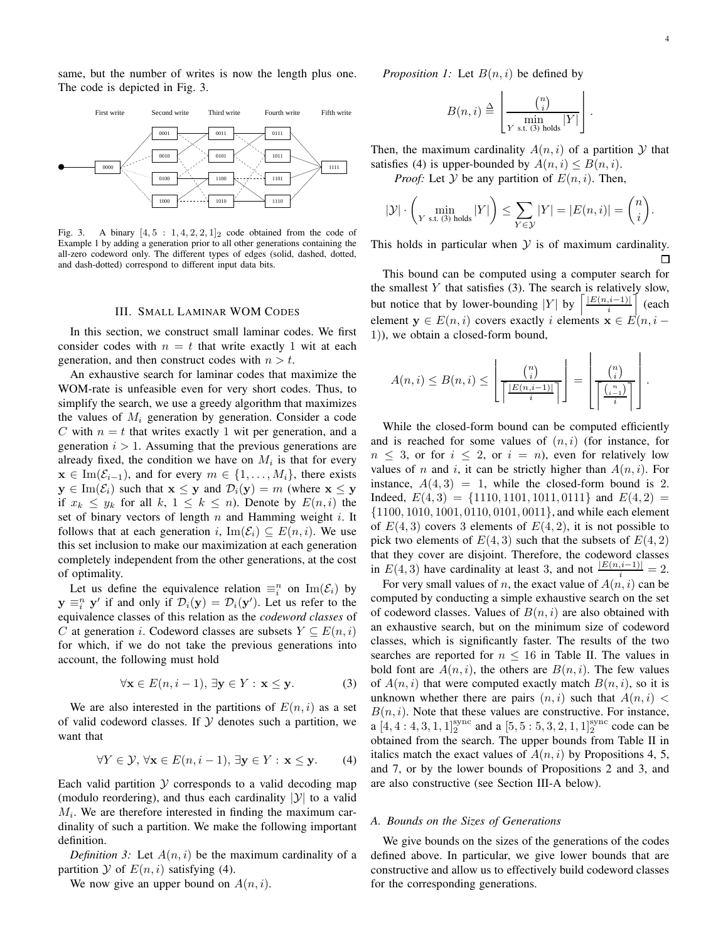same, but the number of writes is now the length plus one. The code is depicted in Fig. 3.



Fig. 3. A binary  $[4, 5 : 1, 4, 2, 2, 1]_2$  code obtained from the code of Example 1 by adding a generation prior to all other generations containing the all-zero codeword only. The different types of edges (solid, dashed, dotted, and dash-dotted) correspond to different input data bits.

#### III. SMALL LAMINAR WOM CODES

In this section, we construct small laminar codes. We first consider codes with  $n = t$  that write exactly 1 wit at each generation, and then construct codes with  $n > t$ .

An exhaustive search for laminar codes that maximize the WOM-rate is unfeasible even for very short codes. Thus, to simplify the search, we use a greedy algorithm that maximizes the values of  $M_i$  generation by generation. Consider a code C with  $n = t$  that writes exactly 1 wit per generation, and a generation  $i > 1$ . Assuming that the previous generations are already fixed, the condition we have on  $M_i$  is that for every  $\mathbf{x} \in \text{Im}(\mathcal{E}_{i-1})$ , and for every  $m \in \{1, ..., M_i\}$ , there exists  $y \in \text{Im}(\mathcal{E}_i)$  such that  $x \leq y$  and  $\mathcal{D}_i(y) = m$  (where  $x \leq y$ if  $x_k \leq y_k$  for all  $k, 1 \leq k \leq n$ ). Denote by  $E(n, i)$  the set of binary vectors of length  $n$  and Hamming weight  $i$ . It follows that at each generation i,  $\text{Im}(\mathcal{E}_i) \subset E(n, i)$ . We use this set inclusion to make our maximization at each generation completely independent from the other generations, at the cost of optimality.

Let us define the equivalence relation  $\equiv_i^n$  on  $\text{Im}(\mathcal{E}_i)$  by  $y \equiv_i^n y'$  if and only if  $\mathcal{D}_i(y) = \mathcal{D}_i(y')$ . Let us refer to the equivalence classes of this relation as the *codeword classes* of C at generation *i*. Codeword classes are subsets  $Y \subseteq E(n, i)$ for which, if we do not take the previous generations into account, the following must hold

$$
\forall \mathbf{x} \in E(n, i-1), \exists \mathbf{y} \in Y : \mathbf{x} \le \mathbf{y}.
$$
 (3)

We are also interested in the partitions of  $E(n, i)$  as a set of valid codeword classes. If  $Y$  denotes such a partition, we want that

$$
\forall Y \in \mathcal{Y}, \forall \mathbf{x} \in E(n, i-1), \exists \mathbf{y} \in Y : \mathbf{x} \leq \mathbf{y}.
$$
 (4)

Each valid partition  $Y$  corresponds to a valid decoding map (modulo reordering), and thus each cardinality  $|\mathcal{Y}|$  to a valid  $M_i$ . We are therefore interested in finding the maximum cardinality of such a partition. We make the following important definition.

*Definition 3:* Let  $A(n, i)$  be the maximum cardinality of a partition  $Y$  of  $E(n, i)$  satisfying (4).

We now give an upper bound on  $A(n, i)$ .

*Proposition 1:* Let  $B(n, i)$  be defined by

$$
B(n, i) \triangleq \left[ \frac{\binom{n}{i}}{\min_{Y \text{ s.t. (3) holds}} |Y|} \right].
$$

Then, the maximum cardinality  $A(n, i)$  of a partition  $Y$  that satisfies (4) is upper-bounded by  $A(n, i) \leq B(n, i)$ .

*Proof:* Let  $Y$  be any partition of  $E(n, i)$ . Then,

$$
|\mathcal{Y}| \cdot \left(\min_{Y \text{ s.t. (3) holds}} |Y|\right) \le \sum_{Y \in \mathcal{Y}} |Y| = |E(n, i)| = \binom{n}{i}.
$$

This holds in particular when  $Y$  is of maximum cardinality. П

This bound can be computed using a computer search for the smallest  $Y$  that satisfies (3). The search is relatively slow, but notice that by lower-bounding |Y| by  $\sqrt{\frac{|E(n,i-1)|}{i}}$  $\left\lceil \frac{i-1}{i} \right\rceil$ (each element  $y \in E(n, i)$  covers exactly i elements  $x \in E(n, i -$ 1)), we obtain a closed-form bound,

$$
A(n,i) \leq B(n,i) \leq \left\lfloor \frac{{n \choose i}}{\left\lceil \frac{|E(n,i-1)|}{i}\right\rceil}\right\rfloor = \left\lfloor \frac{{n \choose i}}{\left\lceil \frac{{n \choose i}}{i}\right\rceil}\right\rfloor.
$$

While the closed-form bound can be computed efficiently and is reached for some values of  $(n, i)$  (for instance, for  $n \leq 3$ , or for  $i \leq 2$ , or  $i = n$ ), even for relatively low values of n and i, it can be strictly higher than  $A(n, i)$ . For instance,  $A(4,3) = 1$ , while the closed-form bound is 2. Indeed,  $E(4,3) = \{1110, 1101, 1011, 0111\}$  and  $E(4,2) =$ {1100, 1010, 1001, 0110, 0101, 0011}, and while each element of  $E(4,3)$  covers 3 elements of  $E(4,2)$ , it is not possible to pick two elements of  $E(4,3)$  such that the subsets of  $E(4,2)$ that they cover are disjoint. Therefore, the codeword classes in  $E(4, 3)$  have cardinality at least 3, and not  $\frac{|E(n,i-1)|}{i} = 2$ .

For very small values of n, the exact value of  $A(n, i)$  can be computed by conducting a simple exhaustive search on the set of codeword classes. Values of  $B(n, i)$  are also obtained with an exhaustive search, but on the minimum size of codeword classes, which is significantly faster. The results of the two searches are reported for  $n \leq 16$  in Table II. The values in bold font are  $A(n, i)$ , the others are  $B(n, i)$ . The few values of  $A(n, i)$  that were computed exactly match  $B(n, i)$ , so it is unknown whether there are pairs  $(n, i)$  such that  $A(n, i)$  <  $B(n, i)$ . Note that these values are constructive. For instance, a  $[4, 4:4, 3, 1, 1]_2^{\text{sync}}$  and a  $[5, 5:5, 3, 2, 1, 1]_2^{\text{sync}}$  code can be obtained from the search. The upper bounds from Table II in italics match the exact values of  $A(n, i)$  by Propositions 4, 5, and 7, or by the lower bounds of Propositions 2 and 3, and are also constructive (see Section III-A below).

#### *A. Bounds on the Sizes of Generations*

We give bounds on the sizes of the generations of the codes defined above. In particular, we give lower bounds that are constructive and allow us to effectively build codeword classes for the corresponding generations.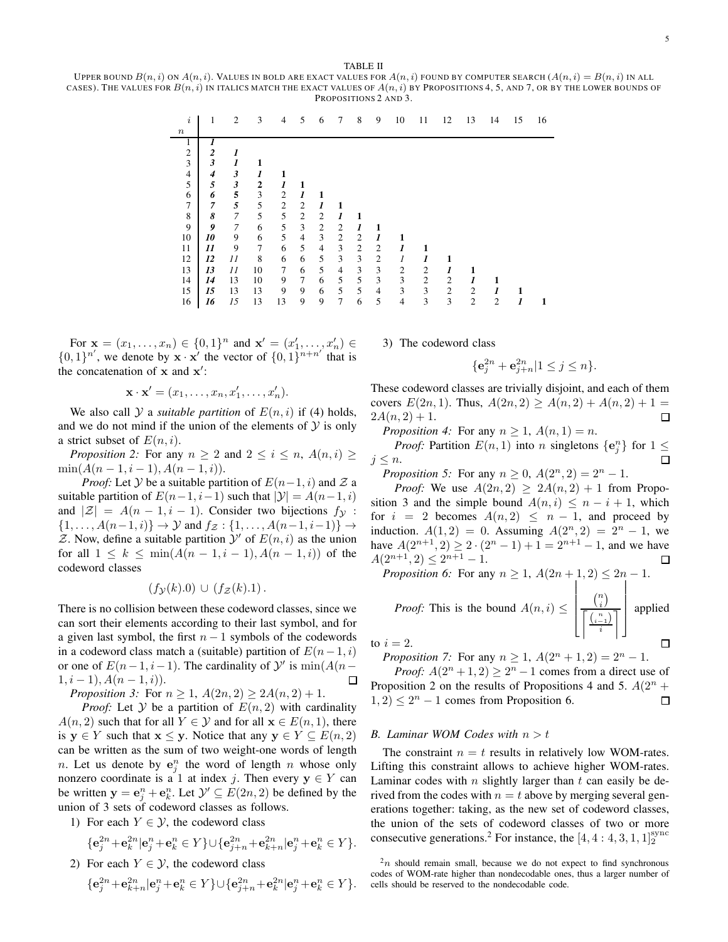TABLE II

UPPER BOUND  $B(n, i)$  ON  $A(n, i)$ . VALUES IN BOLD ARE EXACT VALUES FOR  $A(n, i)$  FOUND BY COMPUTER SEARCH  $(A(n, i) = B(n, i)$  IN ALL CASES). THE VALUES FOR  $B(n, i)$  IN ITALICS MATCH THE EXACT VALUES OF  $A(n, i)$  BY PROPOSITIONS 4, 5, AND 7, OR BY THE LOWER BOUNDS OF PROPOSITIONS 2 AND 3.

| i              | 1                       | 2              | 3              | 4              | 5              | 6              | 7              | 8              | 9              | 10             | 11             | 12 | 13             | 14 | 15 | 16 |
|----------------|-------------------------|----------------|----------------|----------------|----------------|----------------|----------------|----------------|----------------|----------------|----------------|----|----------------|----|----|----|
| $\, n$         |                         |                |                |                |                |                |                |                |                |                |                |    |                |    |    |    |
|                |                         |                |                |                |                |                |                |                |                |                |                |    |                |    |    |    |
| $\overline{2}$ | $\overline{\mathbf{2}}$ | 1              |                |                |                |                |                |                |                |                |                |    |                |    |    |    |
| 3              | 3                       | 1              | 1              |                |                |                |                |                |                |                |                |    |                |    |    |    |
| $\overline{4}$ | 4                       | 3              | 1              | 1              |                |                |                |                |                |                |                |    |                |    |    |    |
| 5              | 5                       | 3              | $\overline{2}$ | 1              | 1              |                |                |                |                |                |                |    |                |    |    |    |
| 6              | 6                       | 5              | 3              | $\overline{2}$ | 1              | 1              |                |                |                |                |                |    |                |    |    |    |
| 7              | $\overline{7}$          | 5              | 5              | $\overline{2}$ | 2              | 1              | 1              |                |                |                |                |    |                |    |    |    |
| 8              | 8                       | 7              | 5              | 5              | $\overline{c}$ | $\overline{2}$ | 1              | 1              |                |                |                |    |                |    |    |    |
| 9              | 9                       | $\overline{7}$ | 6              | 5              | 3              | $\overline{2}$ | 2              | 1              | 1              |                |                |    |                |    |    |    |
| 10             | 10                      | 9              | 6              | 5              | 4              | 3              | $\overline{2}$ | $\overline{2}$ | 1              |                |                |    |                |    |    |    |
| 11             | 11                      | 9              | 7              | 6              | 5              | 4              | 3              | $\overline{2}$ | $\overline{2}$ | 1              |                |    |                |    |    |    |
| 12             | 12                      | 11             | 8              | 6              | 6              | 5              | 3              | 3              | $\overline{2}$ | 1              | 1              |    |                |    |    |    |
| 13             | 13                      | 11             | 10             | 7              | 6              | 5              | 4              | 3              | 3              | $\overline{2}$ | 2              | 1  |                |    |    |    |
| 14             | 14                      | 13             | 10             | 9              | 7              | 6              | 5              | 5              | 3              | 3              | $\overline{2}$ | 2  | 1              |    |    |    |
| 15             | 15                      | 13             | 13             | 9              | 9              | 6              | 5              | 5              | 4              | 3              | 3              | 2  | $\overline{2}$ | 1  |    |    |
| 16             | 16                      | 15             | 13             | 13             | 9              | 9              | 7              | 6              | 5              | 4              | 3              | 3  | 2              | 2  |    |    |

For  $\mathbf{x} = (x_1, \dots, x_n) \in \{0, 1\}^n$  and  $\mathbf{x}' = (x'_1, \dots, x'_n) \in$  $\{0,1\}^{n'}$ , we denote by  $\mathbf{x} \cdot \mathbf{x}'$  the vector of  $\{0,1\}^{n+n'}$  that is the concatenation of  $x$  and  $x'$ :

$$
\mathbf{x} \cdot \mathbf{x}' = (x_1, \dots, x_n, x'_1, \dots, x'_n).
$$

We also call  $Y$  a *suitable partition* of  $E(n, i)$  if (4) holds, and we do not mind if the union of the elements of  $Y$  is only a strict subset of  $E(n, i)$ .

*Proposition 2:* For any  $n \geq 2$  and  $2 \leq i \leq n$ ,  $A(n, i) \geq$  $\min(A(n-1,i-1), A(n-1,i)).$ 

*Proof:* Let Y be a suitable partition of  $E(n-1, i)$  and Z a suitable partition of  $E(n-1, i-1)$  such that  $|\mathcal{Y}| = A(n-1, i)$ and  $|\mathcal{Z}| = A(n-1, i-1)$ . Consider two bijections  $f_{\mathcal{Y}}$ :  $\{1,\ldots,A(n-1,i)\}\rightarrow\mathcal{Y}$  and  $f_{\mathcal{Z}}:\{1,\ldots,A(n-1,i-1)\}\rightarrow\mathcal{Y}$ Z. Now, define a suitable partition  $\mathcal{Y}'$  of  $E(n, i)$  as the union for all  $1 \leq k \leq \min(A(n-1,i-1), A(n-1,i))$  of the codeword classes

$$
(f_{\mathcal{Y}}(k).0) \cup (f_{\mathcal{Z}}(k).1).
$$

There is no collision between these codeword classes, since we can sort their elements according to their last symbol, and for a given last symbol, the first  $n-1$  symbols of the codewords in a codeword class match a (suitable) partition of  $E(n-1, i)$ or one of  $E(n-1, i-1)$ . The cardinality of  $\mathcal{Y}'$  is  $\min(A(n-1, i-1))$ .  $1, i - 1, A(n - 1, i)$ .  $\Box$ 

*Proposition 3:* For  $n \ge 1$ ,  $A(2n, 2) \ge 2A(n, 2) + 1$ .

*Proof:* Let  $Y$  be a partition of  $E(n, 2)$  with cardinality  $A(n, 2)$  such that for all  $Y \in \mathcal{Y}$  and for all  $\mathbf{x} \in E(n, 1)$ , there is  $y \in Y$  such that  $x \le y$ . Notice that any  $y \in Y \subseteq E(n, 2)$ can be written as the sum of two weight-one words of length n. Let us denote by  $e_j^n$  the word of length n whose only nonzero coordinate is a 1 at index j. Then every  $y \in Y$  can be written  $y = e_j^n + e_k^n$ . Let  $\mathcal{Y}' \subseteq E(2n, 2)$  be defined by the union of 3 sets of codeword classes as follows.

1) For each  $Y \in \mathcal{Y}$ , the codeword class

$$
\{e_j^{2n}+e_k^{2n}|e_j^n+e_k^n\in Y\}\cup \{e_{j+n}^{2n}+e_{k+n}^{2n}|e_j^n+e_k^n\in Y\}.
$$

2) For each  $Y \in \mathcal{Y}$ , the codeword class

$$
\{e_j^{2n} + e_{k+n}^{2n} | e_j^n + e_k^n \in Y\} \cup \{e_{j+n}^{2n} + e_k^{2n} | e_j^n + e_k^n \in Y\}.
$$

3) The codeword class

$$
\{ \mathbf{e}_j^{2n} + \mathbf{e}_{j+n}^{2n} | 1 \le j \le n \}.
$$

These codeword classes are trivially disjoint, and each of them covers  $E(2n, 1)$ . Thus,  $A(2n, 2) \ge A(n, 2) + A(n, 2) + 1 =$  $2A(n, 2) + 1.$ П

*Proposition 4:* For any  $n \geq 1$ ,  $A(n, 1) = n$ .

*Proof:* Partition  $E(n, 1)$  into n singletons  $\{e_j^n\}$  for  $1 \leq$  $j \leq n$ . П

*Proposition 5:* For any  $n \ge 0$ ,  $A(2^n, 2) = 2^n - 1$ .

*Proof:* We use  $A(2n, 2) \ge 2A(n, 2) + 1$  from Proposition 3 and the simple bound  $A(n, i) \leq n - i + 1$ , which for  $i = 2$  becomes  $A(n, 2) \leq n - 1$ , and proceed by induction.  $A(1, 2) = 0$ . Assuming  $A(2^n, 2) = 2^n - 1$ , we have  $A(2^{n+1}, 2) \ge 2 \cdot (2^n - 1) + 1 = 2^{n+1} - 1$ , and we have  $A(2^{n+1}, 2) \leq 2^{n+1} - 1.$ П

*Proposition 6:* For any  $n \ge 1$ ,  $A(2n + 1, 2) \le 2n - 1$ .

*Proof:* This is the bound 
$$
A(n, i) \le \left\lfloor \frac{\binom{n}{i}}{\left\lceil \frac{\binom{n}{i-1}}{i} \right\rceil} \right\rfloor
$$
 applied   
= 2.

to 
$$
i = 2
$$
.

*Proposition 7:* For any  $n \ge 1$ ,  $A(2^n + 1, 2) = 2^n - 1$ .

*Proof:*  $A(2^n + 1, 2) \ge 2^n - 1$  comes from a direct use of Proposition 2 on the results of Propositions 4 and 5.  $A(2^n +$  $1, 2) \leq 2^n - 1$  comes from Proposition 6.  $\Box$ 

#### *B. Laminar WOM Codes with*  $n > t$

The constraint  $n = t$  results in relatively low WOM-rates. Lifting this constraint allows to achieve higher WOM-rates. Laminar codes with n slightly larger than  $t$  can easily be derived from the codes with  $n = t$  above by merging several generations together: taking, as the new set of codeword classes, the union of the sets of codeword classes of two or more consecutive generations.<sup>2</sup> For instance, the  $[4, 4: 4, 3, 1, 1]_2^{\text{sync}}$ 

 $2n$  should remain small, because we do not expect to find synchronous codes of WOM-rate higher than nondecodable ones, thus a larger number of cells should be reserved to the nondecodable code.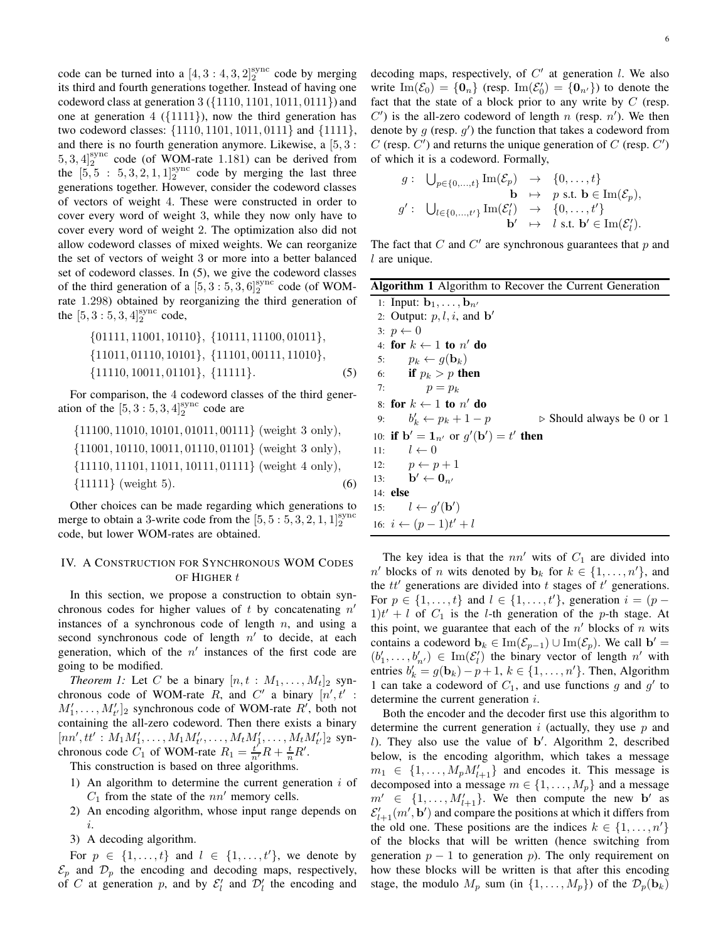code can be turned into a  $[4, 3: 4, 3, 2]_2^{\text{sync}}$  code by merging its third and fourth generations together. Instead of having one codeword class at generation  $3$  ( $\{1110, 1101, 1011, 0111\}$ ) and one at generation  $4 \left( \{1111\} \right)$ , now the third generation has two codeword classes: {1110, 1101, 1011, 0111} and {1111}, and there is no fourth generation anymore. Likewise, a  $[5, 3:$  $5, 3, 4]_2^{\text{sync}}$  code (of WOM-rate 1.181) can be derived from the  $[5, 5 : 5, 3, 2, 1, 1]_2^{\text{sync}}$  code by merging the last three generations together. However, consider the codeword classes of vectors of weight 4. These were constructed in order to cover every word of weight 3, while they now only have to cover every word of weight 2. The optimization also did not allow codeword classes of mixed weights. We can reorganize the set of vectors of weight 3 or more into a better balanced set of codeword classes. In (5), we give the codeword classes of the third generation of a  $[5, 3:5, 3, 6]_2^{\text{sync}}$  code (of WOMrate 1.298) obtained by reorganizing the third generation of the  $[5, 3:5, 3, 4]_2^{\text{sync}}$  code,

$$
\{01111, 11001, 10110\}, \{10111, 11100, 01011\}, \{11011, 01110, 10101\}, \{11101, 00111, 11010\}, \{11110, 10011, 01101\}, \{11111\}.
$$
 (5)

For comparison, the 4 codeword classes of the third generation of the  $[5, 3:5, 3, 4]_2^{\text{sync}}$  code are

$$
\{11100, 11010, 10101, 01011, 00111\} (weight 3 only),\{11001, 10110, 10011, 01110, 01101\} (weight 3 only),\{11110, 11101, 11011, 10111, 01111\} (weight 4 only),\{11111\} (weight 5).
$$
 (6)

Other choices can be made regarding which generations to merge to obtain a 3-write code from the  $[5, 5: 5, 3, 2, 1, 1]_2^{\text{sync}}$ code, but lower WOM-rates are obtained.

## IV. A CONSTRUCTION FOR SYNCHRONOUS WOM CODES OF HIGHER t

In this section, we propose a construction to obtain synchronous codes for higher values of  $t$  by concatenating  $n'$ instances of a synchronous code of length  $n$ , and using a second synchronous code of length  $n'$  to decide, at each generation, which of the  $n'$  instances of the first code are going to be modified.

*Theorem 1:* Let C be a binary  $[n, t : M_1, \ldots, M_t]_2$  synchronous code of WOM-rate R, and C' a binary  $[n', t']$ :  $M'_1, \ldots, M'_{t'}]_2$  synchronous code of WOM-rate  $R'$ , both not containing the all-zero codeword. Then there exists a binary  $[nn', tt': M_1M'_1, \ldots, M_1M'_{t'}, \ldots, M_tM'_1, \ldots, M_tM'_{t'}]$ <sub>2</sub> synchronous code  $C_1$  of WOM-rate  $R_1 = \frac{t'}{n'}R + \frac{t}{n}R'.$ 

This construction is based on three algorithms.

- 1) An algorithm to determine the current generation  $i$  of  $C_1$  from the state of the  $nn'$  memory cells.
- 2) An encoding algorithm, whose input range depends on i.
- 3) A decoding algorithm.

For  $p \in \{1, \ldots, t\}$  and  $l \in \{1, \ldots, t'\}$ , we denote by  $\mathcal{E}_p$  and  $\mathcal{D}_p$  the encoding and decoding maps, respectively, of C at generation p, and by  $\mathcal{E}'_l$  and  $\mathcal{D}'_l$  the encoding and decoding maps, respectively, of  $C<sup>'</sup>$  at generation l. We also write  $\text{Im}(\mathcal{E}_0) = \{\mathbf{0}_n\}$  (resp.  $\text{Im}(\mathcal{E}'_0) = \{\mathbf{0}_{n'}\}$ ) to denote the fact that the state of a block prior to any write by  $C$  (resp.  $C'$ ) is the all-zero codeword of length n (resp.  $n'$ ). We then denote by  $g$  (resp.  $g'$ ) the function that takes a codeword from  $C$  (resp.  $C'$ ) and returns the unique generation of  $C$  (resp.  $C'$ ) of which it is a codeword. Formally,

$$
g: \bigcup_{p \in \{0,\ldots,t\}} \text{Im}(\mathcal{E}_p) \rightarrow \{0,\ldots,t\} \n\mathbf{b} \mapsto p \text{ s.t. } \mathbf{b} \in \text{Im}(\mathcal{E}_p), \ng': \bigcup_{l \in \{0,\ldots,t'\}} \text{Im}(\mathcal{E}'_l) \rightarrow \{0,\ldots,t'\} \n\mathbf{b}' \mapsto l \text{ s.t. } \mathbf{b}' \in \text{Im}(\mathcal{E}'_l).
$$

The fact that  $C$  and  $C'$  are synchronous guarantees that  $p$  and  $l$  are unique.

| Algorithm 1 Algorithm to Recover the Current Generation |
|---------------------------------------------------------|
|                                                         |

1: Input:  $\mathbf{b}_1, \ldots, \mathbf{b}_{n'}$ 2: Output:  $p, l, i$ , and  $\mathbf{b}'$ 3:  $p \leftarrow 0$ 4: for  $k \leftarrow 1$  to  $n'$  do 5:  $p_k \leftarrow g(\mathbf{b}_k)$ 6: if  $p_k > p$  then 7:  $p = p_k$ 8: for  $k \leftarrow 1$  to  $n'$  do 9:  $b'_l$ ⊳ Should always be 0 or 1 10: if  $\mathbf{b}' = \mathbf{1}_{n'}$  or  $g'(\mathbf{b}') = t'$  then 11:  $l \leftarrow 0$ 12:  $p \leftarrow p + 1$  $13:$  $\mathbf{b}' \leftarrow \mathbf{0}_{n'}$ 14: else 15:  $l \leftarrow g'(\mathbf{b}')$ 16:  $i \leftarrow (p-1)t' + l$ 

The key idea is that the  $nn'$  wits of  $C_1$  are divided into  $n'$  blocks of n wits denoted by  $\mathbf{b}_k$  for  $k \in \{1, \ldots, n'\}$ , and the  $tt'$  generations are divided into  $t$  stages of  $t'$  generations. For  $p \in \{1, \ldots, t\}$  and  $l \in \{1, \ldots, t'\}$ , generation  $i = (p 1/t' + l$  of  $C_1$  is the *l*-th generation of the *p*-th stage. At this point, we guarantee that each of the  $n'$  blocks of  $n$  wits contains a codeword  $\mathbf{b}_k \in \text{Im}(\mathcal{E}_{p-1}) \cup \text{Im}(\mathcal{E}_p)$ . We call  $\mathbf{b}' =$  $(b'_1, \ldots, b'_{n'}) \in \text{Im}(\mathcal{E}'_l)$  the binary vector of length  $n'$  with entries  $b'_k = g(\mathbf{b}_k) - p + 1, k \in \{1, \dots, n'\}$ . Then, Algorithm 1 can take a codeword of  $C_1$ , and use functions g and g' to determine the current generation  $i$ .

Both the encoder and the decoder first use this algorithm to determine the current generation  $i$  (actually, they use  $p$  and  $l$ ). They also use the value of  $b'$ . Algorithm 2, described below, is the encoding algorithm, which takes a message  $m_1 \in \{1, \ldots, M_p M'_{l+1}\}\$  and encodes it. This message is decomposed into a message  $m \in \{1, \ldots, M_p\}$  and a message  $m' \in \{1, \ldots, M'_{l+1}\}.$  We then compute the new b' as  $\mathcal{E}'_{l+1}(m',\mathbf{b}')$  and compare the positions at which it differs from the old one. These positions are the indices  $k \in \{1, \ldots, n'\}$ of the blocks that will be written (hence switching from generation  $p - 1$  to generation p). The only requirement on how these blocks will be written is that after this encoding stage, the modulo  $M_n$  sum (in  $\{1, \ldots, M_n\}$ ) of the  $\mathcal{D}_n(\mathbf{b}_k)$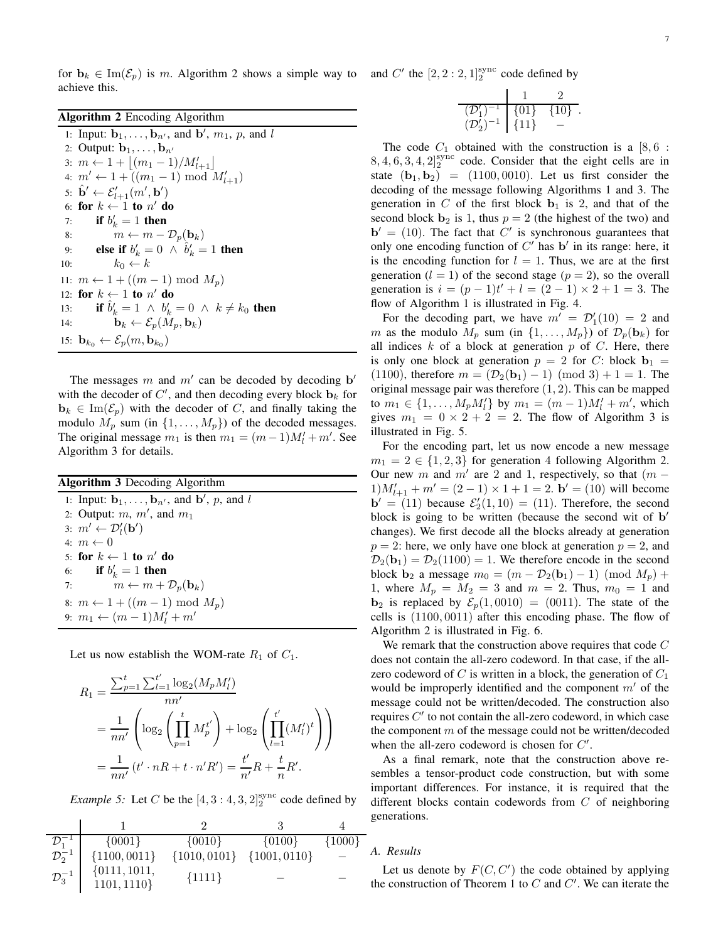for  $\mathbf{b}_k \in \text{Im}(\mathcal{E}_p)$  is m. Algorithm 2 shows a simple way to and C' the  $[2, 2 : 2, 1]_2^{\text{sync}}$  code defined by achieve this.

| <b>Algorithm 2</b> Encoding Algorithm                                                 |  |  |  |  |  |  |
|---------------------------------------------------------------------------------------|--|--|--|--|--|--|
| 1: Input: $\mathbf{b}_1, \ldots, \mathbf{b}_{n'}$ , and $\mathbf{b}', m_1, p$ , and l |  |  |  |  |  |  |
| 2: Output: $\mathbf{b}_1, \ldots, \mathbf{b}_{n'}$                                    |  |  |  |  |  |  |
| 3: $m \leftarrow 1 + \lfloor (m_1 - 1)/M'_{l+1} \rfloor$                              |  |  |  |  |  |  |
| 4: $m' \leftarrow 1 + ((m_1 - 1) \mod M'_{l+1})$                                      |  |  |  |  |  |  |
| 5: $\hat{\mathbf{b}}' \leftarrow \mathcal{E}'_{l+1}(m', \mathbf{b}')$                 |  |  |  |  |  |  |
| 6: for $k \leftarrow 1$ to $n'$ do                                                    |  |  |  |  |  |  |
| if $b'_k = 1$ then<br>7:                                                              |  |  |  |  |  |  |
| $m \leftarrow m - \mathcal{D}_p(\mathbf{b}_k)$<br>8:                                  |  |  |  |  |  |  |
| else if $b'_k = 0 \wedge \hat{b}'_k = 1$ then<br>9:                                   |  |  |  |  |  |  |
| $k_0 \leftarrow k$<br>10:                                                             |  |  |  |  |  |  |
| 11: $m \leftarrow 1 + ((m - 1) \mod M_p)$                                             |  |  |  |  |  |  |
| 12: for $k \leftarrow 1$ to $n'$ do                                                   |  |  |  |  |  |  |
| if $b'_k = 1 \wedge b'_k = 0 \wedge k \neq k_0$ then<br>13:                           |  |  |  |  |  |  |
| $\mathbf{b}_k \leftarrow \mathcal{E}_n(M_n, \mathbf{b}_k)$<br>14:                     |  |  |  |  |  |  |
| 15: $\mathbf{b}_{k_0} \leftarrow \mathcal{E}_p(m, \mathbf{b}_{k_0})$                  |  |  |  |  |  |  |

The messages  $m$  and  $m'$  can be decoded by decoding  $\mathbf{b}'$ with the decoder of  $C'$ , and then decoding every block  $\mathbf{b}_k$  for  $\mathbf{b}_k \in \text{Im}(\mathcal{E}_p)$  with the decoder of C, and finally taking the modulo  $M_p$  sum (in  $\{1, \ldots, M_p\}$ ) of the decoded messages. The original message  $m_1$  is then  $m_1 = (m-1)M'_l + m'$ . See Algorithm 3 for details.

| <b>Algorithm 3</b> Decoding Algorithm                                            |  |  |  |  |  |  |
|----------------------------------------------------------------------------------|--|--|--|--|--|--|
| 1: Input: $\mathbf{b}_1, \ldots, \mathbf{b}_{n'}$ , and $\mathbf{b}', p$ , and l |  |  |  |  |  |  |
| 2: Output: $m, m',$ and $m_1$                                                    |  |  |  |  |  |  |
| 3: $m' \leftarrow \mathcal{D}'_1(\mathbf{b}')$                                   |  |  |  |  |  |  |
| $4 \cdot m \leftarrow 0$                                                         |  |  |  |  |  |  |
| 5: for $k \leftarrow 1$ to $n'$ do                                               |  |  |  |  |  |  |
| 6: <b>if</b> $b'_k = 1$ then                                                     |  |  |  |  |  |  |
| $m \leftarrow m + \mathcal{D}_p(\mathbf{b}_k)$<br>7:                             |  |  |  |  |  |  |
| 8: $m \leftarrow 1 + ((m - 1) \mod M_p)$                                         |  |  |  |  |  |  |
| 9: $m_1 \leftarrow (m-1)M'_1 + m'$                                               |  |  |  |  |  |  |

Let us now establish the WOM-rate  $R_1$  of  $C_1$ .

$$
R_1 = \frac{\sum_{p=1}^t \sum_{l=1}^{t'} \log_2(M_p M_l')}{nn'}
$$
  
=  $\frac{1}{nn'} \left( \log_2 \left( \prod_{p=1}^t M_p^{t'} \right) + \log_2 \left( \prod_{l=1}^{t'} (M_l')^t \right) \right)$   
=  $\frac{1}{nn'} (t' \cdot nR + t \cdot n'R') = \frac{t'}{n'} R + \frac{t}{n} R'.$ 

*Example 5:* Let C be the  $[4, 3 : 4, 3, 2]_2^{\text{sync}}$  code defined by

$$
\begin{array}{c|cccc}\n & 1 & 2 & 3 & 4 \\
\hline\n\mathcal{D}_1^{-1} & \{0001\} & \{0010\} & \{0100\} & \{1000\} \\
\mathcal{D}_2^{-1} & \{1100, 0011\} & \{1010, 0101\} & \{1001, 0110\} \\
\mathcal{D}_3^{-1} & \{0111, 1011, & \{1111\} & - & - \\
 & 1101, 1110\}\n\end{array}
$$

| $(\mathcal{D}_1')$ | ${01}$<br>$\mathbf{I}$ | ${10}$ |
|--------------------|------------------------|--------|
| $(D'_{\alpha})$    | {11}                   |        |

The code  $C_1$  obtained with the construction is a [8,6 :  $8, 4, 6, 3, 4, 2]_2^{\text{sync}}$  code. Consider that the eight cells are in state  $(\mathbf{b}_1, \mathbf{b}_2)$  = (1100, 0010). Let us first consider the decoding of the message following Algorithms 1 and 3. The generation in  $C$  of the first block  $\mathbf{b}_1$  is 2, and that of the second block  $b_2$  is 1, thus  $p = 2$  (the highest of the two) and **. The fact that C' is synchronous guarantees that** only one encoding function of  $C'$  has  $\mathbf{b}'$  in its range: here, it is the encoding function for  $l = 1$ . Thus, we are at the first generation  $(l = 1)$  of the second stage  $(p = 2)$ , so the overall generation is  $i = (p - 1)t' + l = (2 - 1) \times 2 + 1 = 3$ . The flow of Algorithm 1 is illustrated in Fig. 4.

For the decoding part, we have  $m' = \mathcal{D}'_1(10) = 2$  and m as the modulo  $M_p$  sum (in  $\{1, \ldots, M_p\}$ ) of  $\mathcal{D}_p(\mathbf{b}_k)$  for all indices  $k$  of a block at generation  $p$  of  $C$ . Here, there is only one block at generation  $p = 2$  for C: block  $\mathbf{b}_1 =$ (1100), therefore  $m = (\mathcal{D}_2(\mathbf{b}_1) - 1) \pmod{3} + 1 = 1$ . The original message pair was therefore  $(1, 2)$ . This can be mapped to  $m_1 \in \{1, ..., M_pM'_l\}$  by  $m_1 = (m-1)M'_l + m'$ , which gives  $m_1 = 0 \times 2 + 2 = 2$ . The flow of Algorithm 3 is illustrated in Fig. 5.

For the encoding part, let us now encode a new message  $m_1 = 2 \in \{1, 2, 3\}$  for generation 4 following Algorithm 2. Our new m and  $m'$  are 2 and 1, respectively, so that  $(m 1)M'_{l+1} + m' = (2-1) \times 1 + 1 = 2$ . **b**' = (10) will become  $\mathbf{b}' = (11)$  because  $\mathcal{E}'_2(1, 10) = (11)$ . Therefore, the second block is going to be written (because the second wit of b' changes). We first decode all the blocks already at generation  $p = 2$ : here, we only have one block at generation  $p = 2$ , and  $\mathcal{D}_2(\mathbf{b}_1) = \mathcal{D}_2(1100) = 1$ . We therefore encode in the second block  $\mathbf{b}_2$  a message  $m_0 = (m - \mathcal{D}_2(\mathbf{b}_1) - 1) \pmod{M_p}$  + 1, where  $M_p = M_2 = 3$  and  $m = 2$ . Thus,  $m_0 = 1$  and  $\mathbf{b}_2$  is replaced by  $\mathcal{E}_p(1,0010) = (0011)$ . The state of the cells is (1100, 0011) after this encoding phase. The flow of Algorithm 2 is illustrated in Fig. 6.

We remark that the construction above requires that code C does not contain the all-zero codeword. In that case, if the allzero codeword of C is written in a block, the generation of  $C_1$ would be improperly identified and the component  $m'$  of the message could not be written/decoded. The construction also requires  $C'$  to not contain the all-zero codeword, in which case the component  $m$  of the message could not be written/decoded when the all-zero codeword is chosen for  $C'$ .

As a final remark, note that the construction above resembles a tensor-product code construction, but with some important differences. For instance, it is required that the different blocks contain codewords from  $C$  of neighboring generations.

*A. Results*

Let us denote by  $F(C, C')$  the code obtained by applying the construction of Theorem 1 to  $C$  and  $C'$ . We can iterate the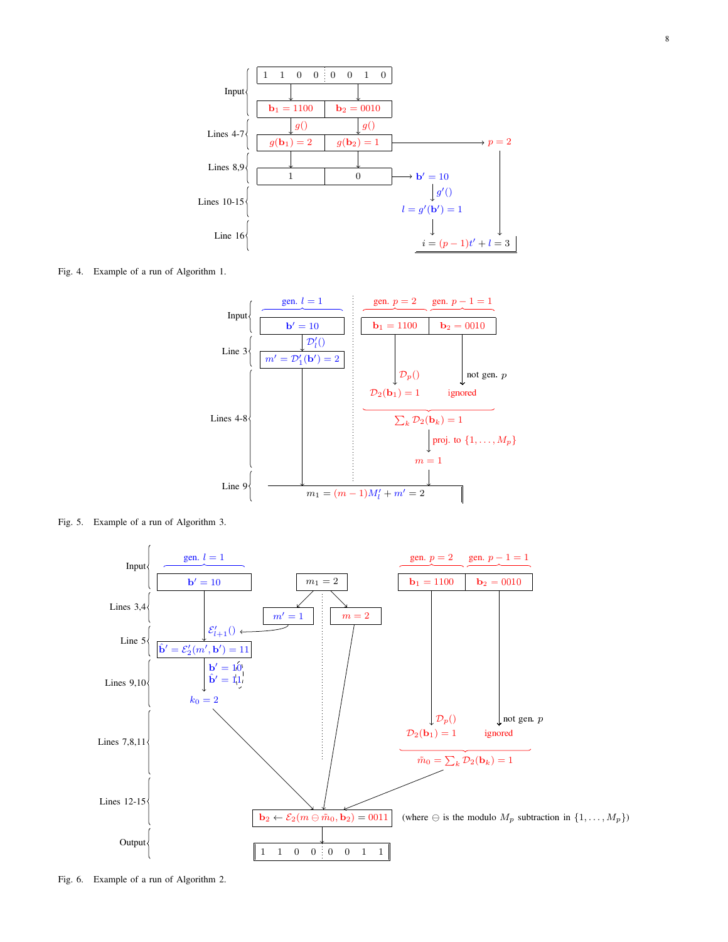

Fig. 4. Example of a run of Algorithm 1.



Fig. 5. Example of a run of Algorithm 3.

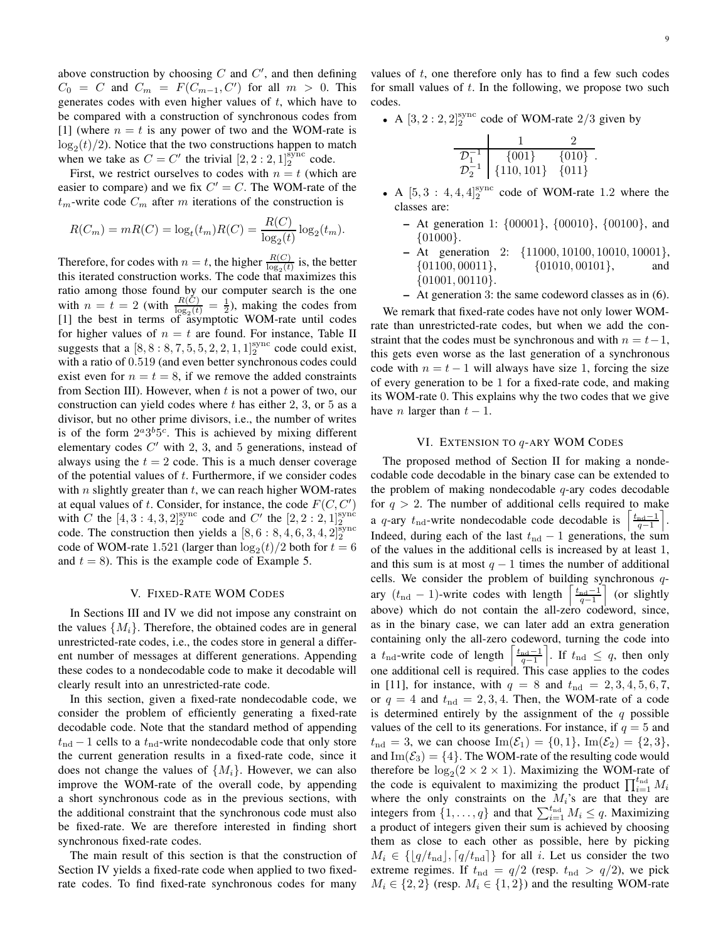above construction by choosing  $C$  and  $C'$ , and then defining  $C_0 = C$  and  $C_m = F(C_{m-1}, C')$  for all  $m > 0$ . This generates codes with even higher values of  $t$ , which have to be compared with a construction of synchronous codes from [1] (where  $n = t$  is any power of two and the WOM-rate is  $\log_2(t)/2$ ). Notice that the two constructions happen to match when we take as  $C = C'$  the trivial  $[2, 2 : 2, 1]_2^{\text{sync}}$  code.

First, we restrict ourselves to codes with  $n = t$  (which are easier to compare) and we fix  $C' = C$ . The WOM-rate of the  $t_m$ -write code  $C_m$  after m iterations of the construction is

$$
R(C_m) = mR(C) = \log_t(t_m)R(C) = \frac{R(C)}{\log_2(t)}\log_2(t_m).
$$

Therefore, for codes with  $n = t$ , the higher  $\frac{R(C)}{\log_2(t)}$  is, the better this iterated construction works. The code that maximizes this ratio among those found by our computer search is the one with  $n = t = 2$  (with  $\frac{R(C)}{\log_2(t)} = \frac{1}{2}$ ), making the codes from [1] the best in terms of asymptotic WOM-rate until codes for higher values of  $n = t$  are found. For instance, Table II suggests that a  $[8, 8: 8, 7, 5, 5, 2, 2, 1, 1]_2^{\text{sync}}$  code could exist, with a ratio of 0.519 (and even better synchronous codes could exist even for  $n = t = 8$ , if we remove the added constraints from Section III). However, when  $t$  is not a power of two, our construction can yield codes where  $t$  has either 2, 3, or 5 as a divisor, but no other prime divisors, i.e., the number of writes is of the form  $2^a 3^b 5^c$ . This is achieved by mixing different elementary codes  $C'$  with 2, 3, and 5 generations, instead of always using the  $t = 2$  code. This is a much denser coverage of the potential values of  $t$ . Furthermore, if we consider codes with  $n$  slightly greater than  $t$ , we can reach higher WOM-rates at equal values of t. Consider, for instance, the code  $F(C, C')$ with *C* the  $[4, 3 : 4, 3, 2]_2^{\text{sync}}$  code and *C'* the  $[2, 2 : 2, 1]_2^{\text{sync}}$ <br>code. The construction then yields a  $[8, 6 : 8, 4, 6, 3, 4, 2]_2^{\text{sync}}$ code of WOM-rate 1.521 (larger than  $\log_2(t)/2$  both for  $t = 6$ and  $t = 8$ ). This is the example code of Example 5.

### V. FIXED-RATE WOM CODES

In Sections III and IV we did not impose any constraint on the values  $\{M_i\}$ . Therefore, the obtained codes are in general unrestricted-rate codes, i.e., the codes store in general a different number of messages at different generations. Appending these codes to a nondecodable code to make it decodable will clearly result into an unrestricted-rate code.

In this section, given a fixed-rate nondecodable code, we consider the problem of efficiently generating a fixed-rate decodable code. Note that the standard method of appending  $t_{\rm nd}$  − 1 cells to a  $t_{\rm nd}$ -write nondecodable code that only store the current generation results in a fixed-rate code, since it does not change the values of  $\{M_i\}$ . However, we can also improve the WOM-rate of the overall code, by appending a short synchronous code as in the previous sections, with the additional constraint that the synchronous code must also be fixed-rate. We are therefore interested in finding short synchronous fixed-rate codes.

The main result of this section is that the construction of Section IV yields a fixed-rate code when applied to two fixedrate codes. To find fixed-rate synchronous codes for many

values of  $t$ , one therefore only has to find a few such codes for small values of  $t$ . In the following, we propose two such codes.

• A  $[3, 2: 2, 2]_2^{\text{sync}}$  code of WOM-rate  $2/3$  given by

$$
\begin{array}{c|cc} & 1 & 2 \\ \hline \mathcal{D}_1^{-1} & \{001\} & \{010\} \\ \mathcal{D}_2^{-1} & \{110, 101\} & \{011\} \end{array}.
$$

- A  $[5, 3 : 4, 4, 4]_2^{\text{sync}}$  code of WOM-rate 1.2 where the classes are:
	- At generation 1: {00001}, {00010}, {00100}, and {01000}.
	- At generation 2: {11000, 10100, 10010, 10001},  $\{01100, 00011\}, \{01010, 00101\}, \text{ and}$  $\{01001, 00110\}.$

– At generation 3: the same codeword classes as in (6).

We remark that fixed-rate codes have not only lower WOMrate than unrestricted-rate codes, but when we add the constraint that the codes must be synchronous and with  $n = t-1$ , this gets even worse as the last generation of a synchronous code with  $n = t - 1$  will always have size 1, forcing the size of every generation to be 1 for a fixed-rate code, and making its WOM-rate 0. This explains why the two codes that we give have *n* larger than  $t - 1$ .

### VI. EXTENSION TO *q*-ARY WOM CODES

The proposed method of Section II for making a nondecodable code decodable in the binary case can be extended to the problem of making nondecodable  $q$ -ary codes decodable for  $q > 2$ . The number of additional cells required to make a q-ary  $t_{\text{nd}}$ -write nondecodable code decodable is  $\left[\frac{t_{\text{nd}}-1}{q-1}\right]$ . Indeed, during each of the last  $t_{\text{nd}} - 1$  generations, the sum of the values in the additional cells is increased by at least 1, and this sum is at most  $q - 1$  times the number of additional cells. We consider the problem of building synchronous  $q$ ary  $(t_{\text{nd}} - 1)$ -write codes with length  $\left\lceil \frac{t_{\text{nd}}-1}{q-1} \right\rceil$  (or slightly above) which do not contain the all-zero codeword, since, as in the binary case, we can later add an extra generation containing only the all-zero codeword, turning the code into a  $t_{\text{nd}}$ -write code of length  $\left\lceil \frac{t_{\text{nd}}-1}{q-1} \right\rceil$ . If  $t_{\text{nd}} \leq q$ , then only one additional cell is required. This case applies to the codes in [11], for instance, with  $q = 8$  and  $t_{\text{nd}} = 2, 3, 4, 5, 6, 7,$ or  $q = 4$  and  $t_{\text{nd}} = 2, 3, 4$ . Then, the WOM-rate of a code is determined entirely by the assignment of the  $q$  possible values of the cell to its generations. For instance, if  $q = 5$  and  $t_{\rm nd} = 3$ , we can choose  $\text{Im}(\mathcal{E}_1) = \{0, 1\}$ ,  $\text{Im}(\mathcal{E}_2) = \{2, 3\}$ , and  $\text{Im}(\mathcal{E}_3) = \{4\}$ . The WOM-rate of the resulting code would therefore be  $\log_2(2 \times 2 \times 1)$ . Maximizing the WOM-rate of the code is equivalent to maximizing the product  $\prod_{i=1}^{t_{\text{nd}}} M_i$ where the only constraints on the  $M_i$ 's are that they are integers from  $\{1, \ldots, q\}$  and that  $\sum_{i=1}^{t_{\text{nd}}} M_i \leq q$ . Maximizing a product of integers given their sum is achieved by choosing them as close to each other as possible, here by picking  $M_i \in \{ |q/t_{\rm nd}|, |q/t_{\rm nd}| \}$  for all i. Let us consider the two extreme regimes. If  $t_{\rm nd} = q/2$  (resp.  $t_{\rm nd} > q/2$ ), we pick  $M_i \in \{2, 2\}$  (resp.  $M_i \in \{1, 2\}$ ) and the resulting WOM-rate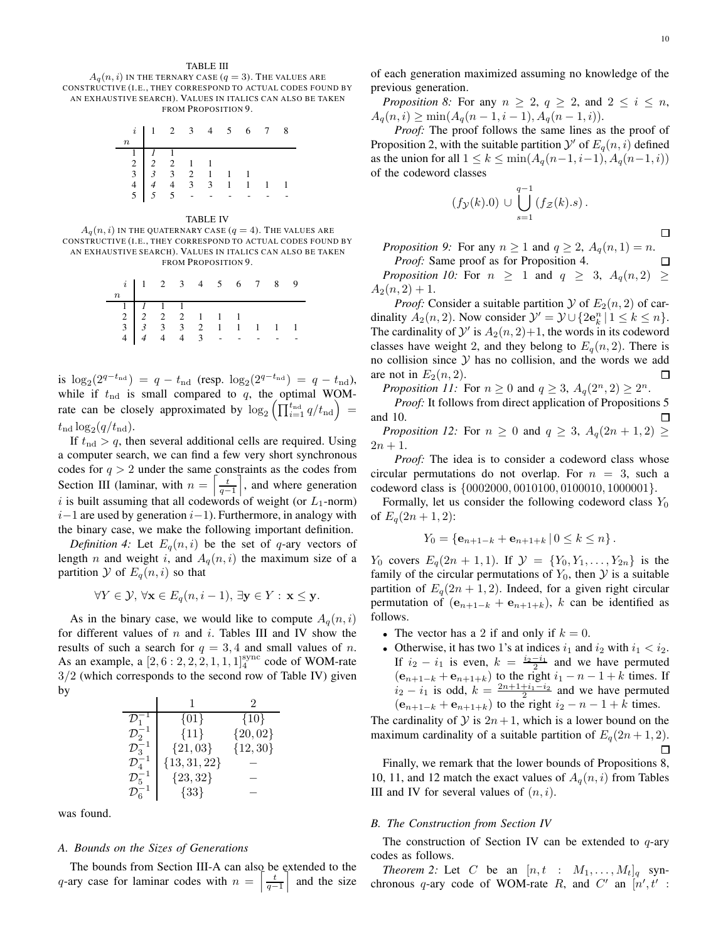## TABLE III

 $A_q(n, i)$  IN THE TERNARY CASE  $(q = 3)$ . The VALUES ARE CONSTRUCTIVE (I.E., THEY CORRESPOND TO ACTUAL CODES FOUND BY AN EXHAUSTIVE SEARCH). VALUES IN ITALICS CAN ALSO BE TAKEN FROM PROPOSITION 9.



TABLE IV

 $A_q(n, i)$  IN THE QUATERNARY CASE ( $q = 4$ ). The VALUES ARE CONSTRUCTIVE (I.E., THEY CORRESPOND TO ACTUAL CODES FOUND BY AN EXHAUSTIVE SEARCH). VALUES IN ITALICS CAN ALSO BE TAKEN FROM PROPOSITION 9.

| $\begin{array}{c cccccccc} i & 1 & 2 & 3 & 4 & 5 & 6 & 7 & 8 & 9 \\ n & & & & & & & \end{array}$ |  |  |  |  |  |
|--------------------------------------------------------------------------------------------------|--|--|--|--|--|
|                                                                                                  |  |  |  |  |  |
|                                                                                                  |  |  |  |  |  |
|                                                                                                  |  |  |  |  |  |
|                                                                                                  |  |  |  |  |  |
|                                                                                                  |  |  |  |  |  |

is  $\log_2(2^{q-t_{\text{nd}}}) = q - t_{\text{nd}}$  (resp.  $\log_2(2^{q-t_{\text{nd}}}) = q - t_{\text{nd}}$ ), while if  $t_{\text{nd}}$  is small compared to  $q$ , the optimal WOMrate can be closely approximated by  $\log_2 \left( \prod_{i=1}^{t_{\text{nd}}} q/t_{\text{nd}} \right)$  $t_{\rm nd}$   $\log_2(q/t_{\rm nd}).$ 

If  $t_{\rm nd} > q$ , then several additional cells are required. Using a computer search, we can find a few very short synchronous codes for  $q > 2$  under the same constraints as the codes from Section III (laminar, with  $n = \left[\frac{t}{q-1}\right]$ , and where generation i is built assuming that all codewords of weight (or  $L_1$ -norm)  $i-1$  are used by generation  $i-1$ ). Furthermore, in analogy with the binary case, we make the following important definition.

*Definition 4:* Let  $E_q(n, i)$  be the set of q-ary vectors of length *n* and weight *i*, and  $A_q(n, i)$  the maximum size of a partition Y of  $E_q(n, i)$  so that

$$
\forall Y \in \mathcal{Y}, \forall \mathbf{x} \in E_q(n, i-1), \exists \mathbf{y} \in Y : \mathbf{x} \leq \mathbf{y}.
$$

As in the binary case, we would like to compute  $A_q(n, i)$ for different values of  $n$  and  $i$ . Tables III and IV show the results of such a search for  $q = 3, 4$  and small values of n. As an example, a  $[2, 6: 2, 2, 2, 1, 1, 1]_4^{\text{sync}}$  code of WOM-rate  $3/2$  (which corresponds to the second row of Table IV) given by

| $\mathcal{D}_1^{-1}$ | ${01}$         | $\{10\}$   |
|----------------------|----------------|------------|
| $\mathcal{D}_2^{-1}$ | ${11}$         | ${20, 02}$ |
| $\mathcal{D}_3^{-1}$ | ${21,03}$      | ${12, 30}$ |
| $\mathcal{D}_A^{-1}$ | ${13, 31, 22}$ |            |
| $\mathcal{D}_5^{-1}$ | ${23, 32}$     |            |
| $\mathcal{D}_6^{-1}$ | ${33}$         |            |
|                      |                |            |

was found.

#### *A. Bounds on the Sizes of Generations*

The bounds from Section III-A can also be extended to the q-ary case for laminar codes with  $n = \left[\frac{t}{q-1}\right]$  and the size

of each generation maximized assuming no knowledge of the previous generation.

*Proposition 8:* For any  $n \geq 2$ ,  $q \geq 2$ , and  $2 \leq i \leq n$ ,  $A_q(n, i) \ge \min(A_q(n-1, i-1), A_q(n-1, i)).$ 

*Proof:* The proof follows the same lines as the proof of Proposition 2, with the suitable partition  $\mathcal{Y}'$  of  $E_q(n, i)$  defined as the union for all  $1 \le k \le \min(A_q(n-1, i-1), A_q(n-1, i))$ of the codeword classes

$$
(f_{\mathcal{Y}}(k).0) \cup \bigcup_{s=1}^{q-1} (f_{\mathcal{Z}}(k).s).
$$

□

*Proposition 9:* For any  $n \ge 1$  and  $q \ge 2$ ,  $A_q(n, 1) = n$ .

*Proof:* Same proof as for Proposition 4. П *Proposition 10:* For  $n \geq 1$  and  $q \geq 3$ ,  $A_q(n, 2) \geq$  $A_2(n, 2) + 1.$ 

*Proof:* Consider a suitable partition  $\mathcal Y$  of  $E_2(n, 2)$  of cardinality  $A_2(n, 2)$ . Now consider  $\mathcal{Y}' = \mathcal{Y} \cup \{2\mathbf{e}_k^n \mid 1 \leq k \leq n\}$ . The cardinality of  $\mathcal{Y}'$  is  $A_2(n, 2)+1$ , the words in its codeword classes have weight 2, and they belong to  $E_q(n, 2)$ . There is no collision since  $Y$  has no collision, and the words we add are not in  $E_2(n, 2)$ .  $\Box$ 

*Proposition 11:* For  $n \geq 0$  and  $q \geq 3$ ,  $A_q(2^n, 2) \geq 2^n$ .

*Proof:* It follows from direct application of Propositions 5 and 10. П

*Proposition 12:* For  $n \geq 0$  and  $q \geq 3$ ,  $A_q(2n + 1, 2) \geq$  $2n + 1$ .

*Proof:* The idea is to consider a codeword class whose circular permutations do not overlap. For  $n = 3$ , such a codeword class is {0002000, 0010100, 0100010, 1000001}.

Formally, let us consider the following codeword class  $Y_0$ of  $E_q(2n + 1, 2)$ :

$$
Y_0 = \{ \mathbf{e}_{n+1-k} + \mathbf{e}_{n+1+k} \, | \, 0 \le k \le n \} \, .
$$

 $Y_0$  covers  $E_q(2n + 1, 1)$ . If  $\mathcal{Y} = \{Y_0, Y_1, \ldots, Y_{2n}\}\$ is the family of the circular permutations of  $Y_0$ , then  $Y$  is a suitable partition of  $E_q(2n + 1, 2)$ . Indeed, for a given right circular permutation of  $(e_{n+1-k} + e_{n+1+k})$ , k can be identified as follows.

- The vector has a 2 if and only if  $k = 0$ .
- Otherwise, it has two 1's at indices  $i_1$  and  $i_2$  with  $i_1 < i_2$ . If  $i_2 - i_1$  is even,  $k = \frac{i_2 - i_1}{2}$  and we have permuted  $(e_{n+1-k} + e_{n+1+k})$  to the right  $i_1 - n - 1 + k$  times. If  $i_2 - i_1$  is odd,  $k = \frac{2n+1+i_1-i_2}{2}$  and we have permuted  $(e_{n+1-k} + e_{n+1+k})$  to the right  $i_2 - n - 1 + k$  times.

The cardinality of  $\mathcal Y$  is  $2n+1$ , which is a lower bound on the maximum cardinality of a suitable partition of  $E_q(2n + 1, 2)$ . П

Finally, we remark that the lower bounds of Propositions 8, 10, 11, and 12 match the exact values of  $A_q(n, i)$  from Tables III and IV for several values of  $(n, i)$ .

#### *B. The Construction from Section IV*

The construction of Section IV can be extended to  $q$ -ary codes as follows.

*Theorem 2:* Let C be an  $[n, t : M_1, \ldots, M_t]_q$  synchronous q-ary code of WOM-rate R, and C' an  $[n', t']$ :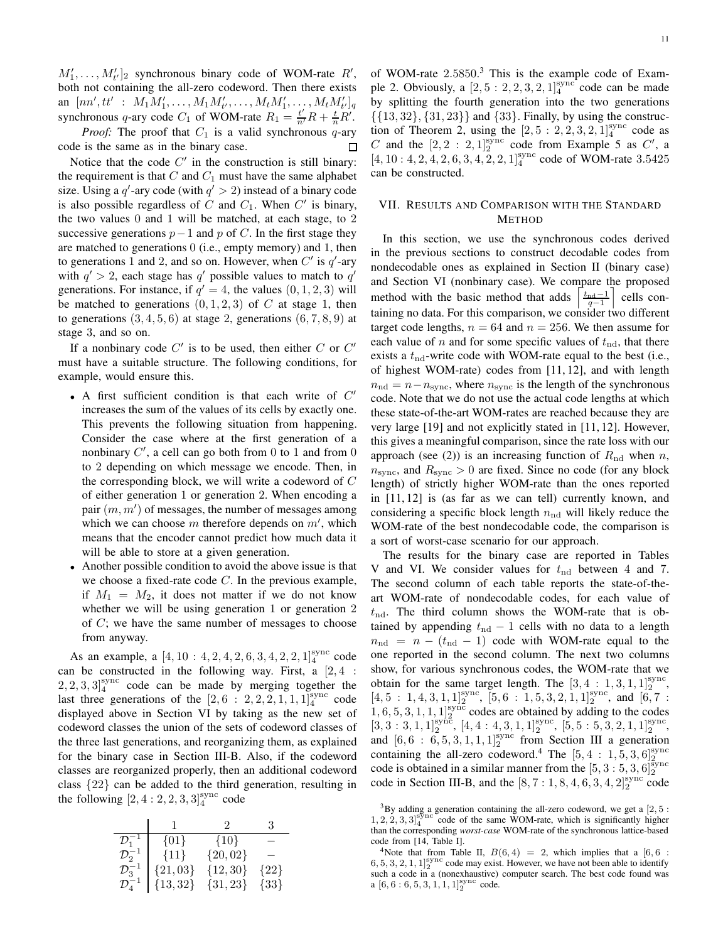$M'_1, \ldots, M'_{t'}]_2$  synchronous binary code of WOM-rate  $R'$ , both not containing the all-zero codeword. Then there exists an  $[nn', tt' : M_1M'_1, \ldots, M_1M'_{t'}, \ldots, M_tM'_1, \ldots, M_tM'_{t'}]_q$ synchronous q-ary code  $C_1$  of WOM-rate  $R_1 = \frac{t'}{n'}R + \frac{t}{n}R'$ .

*Proof:* The proof that  $C_1$  is a valid synchronous q-ary code is the same as in the binary case.  $\Box$ 

Notice that the code  $C'$  in the construction is still binary: the requirement is that  $C$  and  $C_1$  must have the same alphabet size. Using a  $q'$ -ary code (with  $q' > 2$ ) instead of a binary code is also possible regardless of  $C$  and  $C_1$ . When  $C'$  is binary, the two values 0 and 1 will be matched, at each stage, to 2 successive generations  $p-1$  and p of C. In the first stage they are matched to generations 0 (i.e., empty memory) and 1, then to generations 1 and 2, and so on. However, when  $C'$  is  $q'$ -ary with  $q' > 2$ , each stage has q' possible values to match to q' generations. For instance, if  $q' = 4$ , the values  $(0, 1, 2, 3)$  will be matched to generations  $(0, 1, 2, 3)$  of C at stage 1, then to generations  $(3, 4, 5, 6)$  at stage 2, generations  $(6, 7, 8, 9)$  at stage 3, and so on.

If a nonbinary code  $C'$  is to be used, then either  $C$  or  $C'$ must have a suitable structure. The following conditions, for example, would ensure this.

- A first sufficient condition is that each write of  $C'$ increases the sum of the values of its cells by exactly one. This prevents the following situation from happening. Consider the case where at the first generation of a nonbinary  $C'$ , a cell can go both from 0 to 1 and from 0 to 2 depending on which message we encode. Then, in the corresponding block, we will write a codeword of C of either generation 1 or generation 2. When encoding a pair  $(m, m')$  of messages, the number of messages among which we can choose  $m$  therefore depends on  $m'$ , which means that the encoder cannot predict how much data it will be able to store at a given generation.
- Another possible condition to avoid the above issue is that we choose a fixed-rate code  $C$ . In the previous example, if  $M_1 = M_2$ , it does not matter if we do not know whether we will be using generation 1 or generation 2 of  $C$ ; we have the same number of messages to choose from anyway.

As an example, a  $[4, 10: 4, 2, 4, 2, 6, 3, 4, 2, 2, 1]_4^{\text{sync}}$  code can be constructed in the following way. First, a  $[2, 4 :$  $2, 2, 3, 3]_4^{\text{sync}}$  code can be made by merging together the last three generations of the  $[2, 6 : 2, 2, 2, 1, 1, 1]_4^{\text{sync}}$  code displayed above in Section VI by taking as the new set of codeword classes the union of the sets of codeword classes of the three last generations, and reorganizing them, as explained for the binary case in Section III-B. Also, if the codeword classes are reorganized properly, then an additional codeword class {22} can be added to the third generation, resulting in the following  $[2, 4: 2, 2, 3, 3]_4^{\text{sync}}$  code

|                        |             | ' $\lambda$  | З      |
|------------------------|-------------|--------------|--------|
| $\mathcal{D}_1^{-1}$   | ${01}$      | ${10}$       |        |
| $\mathcal{D}_2^{-1}$   | ${11}$      | $\{20,02\}$  |        |
| $\mathcal{D}_{3}^{-1}$ | $\{21,03\}$ | $\{12, 30\}$ | ${22}$ |
| $\mathcal{D}_4^{-1}$   | ${13, 32}$  | $\{31,23\}$  | ${33}$ |

of WOM-rate 2.5850. <sup>3</sup> This is the example code of Example 2. Obviously, a  $[2, 5 : 2, 2, 3, 2, 1]_4^{\text{sync}}$  code can be made by splitting the fourth generation into the two generations  $\{\{13, 32\}, \{31, 23\}\}\$ and  $\{33\}$ . Finally, by using the construction of Theorem 2, using the  $[2, 5 : 2, 2, 3, 2, 1]_4^{\text{sync}}$  code as C and the  $[2, 2 : 2, 1]_2^{\text{sync}}$  code from Example 5 as C', a  $[4, 10: 4, 2, 4, 2, 6, 3, 4, 2, 2, 1]_4^{\text{sync}}$  code of WOM-rate 3.5425 can be constructed.

## VII. RESULTS AND COMPARISON WITH THE STANDARD METHOD

In this section, we use the synchronous codes derived in the previous sections to construct decodable codes from nondecodable ones as explained in Section II (binary case) and Section VI (nonbinary case). We compare the proposed method with the basic method that adds  $\left\lceil \frac{t_{\text{nd}}-1}{q-1} \right\rceil$  cells containing no data. For this comparison, we consider two different target code lengths,  $n = 64$  and  $n = 256$ . We then assume for each value of n and for some specific values of  $t_{\text{nd}}$ , that there exists a  $t_{\text{nd}}$ -write code with WOM-rate equal to the best (i.e., of highest WOM-rate) codes from [11, 12], and with length  $n_{\rm nd} = n - n_{\rm sync}$ , where  $n_{\rm sync}$  is the length of the synchronous code. Note that we do not use the actual code lengths at which these state-of-the-art WOM-rates are reached because they are very large [19] and not explicitly stated in [11, 12]. However, this gives a meaningful comparison, since the rate loss with our approach (see (2)) is an increasing function of  $R_{\text{nd}}$  when n,  $n_{\text{sync}}$ , and  $R_{\text{sync}} > 0$  are fixed. Since no code (for any block length) of strictly higher WOM-rate than the ones reported in [11, 12] is (as far as we can tell) currently known, and considering a specific block length  $n_{\text{nd}}$  will likely reduce the WOM-rate of the best nondecodable code, the comparison is a sort of worst-case scenario for our approach.

The results for the binary case are reported in Tables V and VI. We consider values for  $t_{\text{nd}}$  between 4 and 7. The second column of each table reports the state-of-theart WOM-rate of nondecodable codes, for each value of  $t_{\rm nd}$ . The third column shows the WOM-rate that is obtained by appending  $t_{\text{nd}}$  − 1 cells with no data to a length  $n_{\rm nd}$  =  $n - (t_{\rm nd} - 1)$  code with WOM-rate equal to the one reported in the second column. The next two columns show, for various synchronous codes, the WOM-rate that we obtain for the same target length. The  $[3, 4 : 1, 3, 1, 1]_2^{\text{sync}}$ ,  $[4, 5 : 1, 4, 3, 1, 1]_2^{\text{sync}}, [5, 6 : 1, 5, 3, 2, 1, 1]_2^{\text{sync}}, \text{ and } [6, 7 :$  $1, 6, 5, 3, 1, 1, 1]_2^{\text{synic}}$  codes are obtained by adding to the codes  $[3, 3: 3, 1, 1]_2^{\text{sync}}, [4, 4: 4, 3, 1, 1]_2^{\text{sync}}, [5, 5: 5, 3, 2, 1, 1]_2^{\text{sync}},$ and  $[6, 6 : 6, 5, 3, 1, 1, 1]_2^{\text{sync}}$  from Section III a generation containing the all-zero codeword.<sup>4</sup> The  $[5, 4 : 1, 5, 3, 6]_2^{\text{sync}}$ code is obtained in a similar manner from the  $[5, 3:5, 3, 6]_2^{\text{sync}}$ code in Section III-B, and the  $[8, 7:1, 8, 4, 6, 3, 4, 2]_2^{\text{sync}}$  code

<sup>&</sup>lt;sup>3</sup>By adding a generation containing the all-zero codeword, we get a [2, 5 : 2, 2, 3, 3]<sup>Syric</sup> code of the same WOM-rate, which is significantly higher  $1, 2, 2, 3, 3]_4^{\text{sync}}$  code of the same WOM-rate, which is significantly higher than the corresponding *worst-case* WOM-rate of the synchronous lattice-based code from [14, Table I].

<sup>&</sup>lt;sup>4</sup>Note that from Table II,  $B(6, 4) = 2$ , which implies that a [6, 6 :  $(6, 5, 3, 2, 1, 1]_2^{\text{sync}}$  code may exist. However, we have not been able to identify such a code in a (nonexhaustive) computer search. The best code found was a  $[6, 6: 6, 5, 3, 1, 1, 1]_2^{\text{sync}}$  code.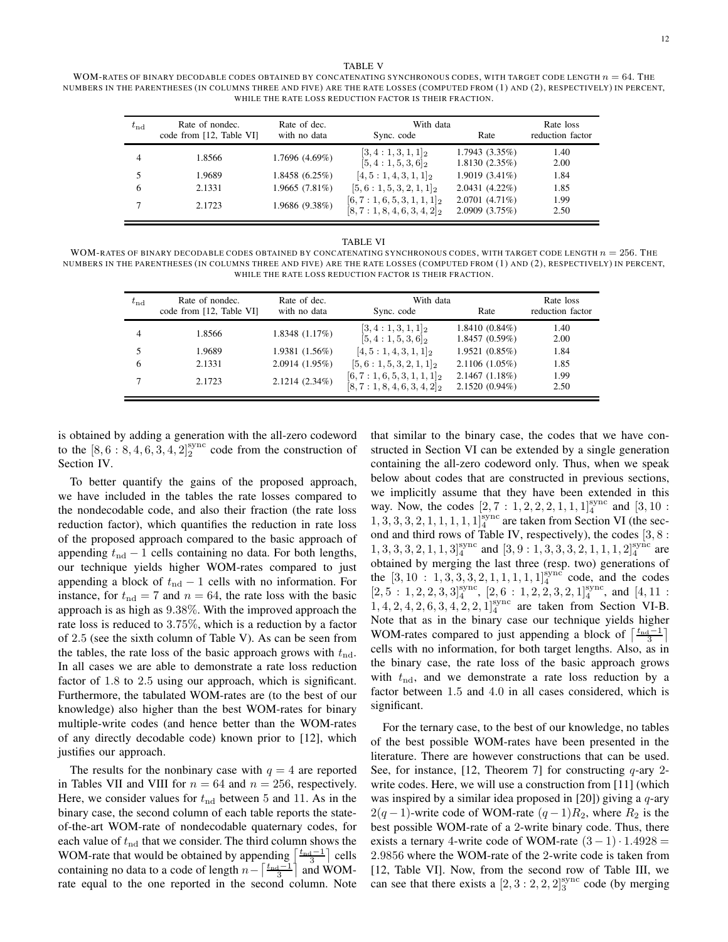#### TABLE V

WOM-RATES OF BINARY DECODABLE CODES OBTAINED BY CONCATENATING SYNCHRONOUS CODES, WITH TARGET CODE LENGTH  $n = 64$ . The NUMBERS IN THE PARENTHESES (IN COLUMNS THREE AND FIVE) ARE THE RATE LOSSES (COMPUTED FROM (1) AND (2), RESPECTIVELY) IN PERCENT, WHILE THE RATE LOSS REDUCTION FACTOR IS THEIR FRACTION.

| $t_{\rm nd}$ | Rate of nondec.<br>code from [12, Table VI] | Rate of dec.<br>with no data | With data<br>Sync. code                                            | Rate                               | Rate loss<br>reduction factor |
|--------------|---------------------------------------------|------------------------------|--------------------------------------------------------------------|------------------------------------|-------------------------------|
|              | 1.8566                                      | 1.7696 (4.69%)               | $[3,4:1,3,1,1]_2$<br>$[5, 4: 1, 5, 3, 6]_2$                        | 1.7943 (3.35%)<br>$1.8130(2.35\%)$ | 1.40<br>2.00                  |
|              | 1.9689                                      | 1.8458(6.25%)                | $[4, 5: 1, 4, 3, 1, 1]_2$                                          | 1.9019 (3.41%)                     | 1.84                          |
| 6            | 2.1331                                      | 1.9665 (7.81%)               | $[5, 6: 1, 5, 3, 2, 1, 1]_2$                                       | 2.0431 (4.22%)                     | 1.85                          |
|              | 2.1723                                      | 1.9686 (9.38%)               | $[6, 7: 1, 6, 5, 3, 1, 1, 1]_2$<br>$[8, 7: 1, 8, 4, 6, 3, 4, 2]_2$ | 2.0701 (4.71%)<br>2.0909 (3.75%)   | 1.99<br>2.50                  |

#### TABLE VI

WOM-RATES OF BINARY DECODABLE CODES OBTAINED BY CONCATENATING SYNCHRONOUS CODES, WITH TARGET CODE LENGTH  $n = 256$ . The NUMBERS IN THE PARENTHESES (IN COLUMNS THREE AND FIVE) ARE THE RATE LOSSES (COMPUTED FROM (1) AND (2), RESPECTIVELY) IN PERCENT, WHILE THE RATE LOSS REDUCTION FACTOR IS THEIR FRACTION.

| $t_{\rm nd}$ | Rate of nondec.<br>Rate of dec.<br>code from [12, Table VI]<br>with no data |                  | With data<br>Sync. code         | Rate loss<br>reduction factor |      |
|--------------|-----------------------------------------------------------------------------|------------------|---------------------------------|-------------------------------|------|
|              |                                                                             |                  |                                 |                               |      |
| 1.8566<br>4  |                                                                             | 1.8348 (1.17%)   | $[3, 4: 1, 3, 1, 1]_2$          | $1.8410(0.84\%)$              | 1.40 |
|              |                                                                             |                  | $[5, 4: 1, 5, 3, 6]_2$          | 1.8457 (0.59%)                | 2.00 |
|              | 1.9689                                                                      | 1.9381 (1.56%)   | $[4, 5: 1, 4, 3, 1, 1]_2$       | 1.9521 (0.85%)                | 1.84 |
| 6            | 2.1331                                                                      | $2.0914(1.95\%)$ | $[5, 6: 1, 5, 3, 2, 1, 1]_2$    | $2.1106(1.05\%)$              | 1.85 |
|              |                                                                             |                  | $[6, 7: 1, 6, 5, 3, 1, 1, 1]_2$ | 2.1467(1.18%)                 | 1.99 |
|              | 2.1723                                                                      | 2.1214 (2.34%)   | $[8, 7: 1, 8, 4, 6, 3, 4, 2]_2$ | $2.1520(0.94\%)$              | 2.50 |

is obtained by adding a generation with the all-zero codeword to the  $[8, 6: 8, 4, 6, 3, 4, 2]_2^{\text{sync}}$  code from the construction of Section IV.

To better quantify the gains of the proposed approach, we have included in the tables the rate losses compared to the nondecodable code, and also their fraction (the rate loss reduction factor), which quantifies the reduction in rate loss of the proposed approach compared to the basic approach of appending  $t_{\text{nd}} - 1$  cells containing no data. For both lengths, our technique yields higher WOM-rates compared to just appending a block of  $t_{\text{nd}} - 1$  cells with no information. For instance, for  $t_{\rm nd} = 7$  and  $n = 64$ , the rate loss with the basic approach is as high as 9.38%. With the improved approach the rate loss is reduced to 3.75%, which is a reduction by a factor of 2.5 (see the sixth column of Table V). As can be seen from the tables, the rate loss of the basic approach grows with  $t_{\text{nd}}$ . In all cases we are able to demonstrate a rate loss reduction factor of 1.8 to 2.5 using our approach, which is significant. Furthermore, the tabulated WOM-rates are (to the best of our knowledge) also higher than the best WOM-rates for binary multiple-write codes (and hence better than the WOM-rates of any directly decodable code) known prior to [12], which justifies our approach.

The results for the nonbinary case with  $q = 4$  are reported in Tables VII and VIII for  $n = 64$  and  $n = 256$ , respectively. Here, we consider values for  $t_{\text{nd}}$  between 5 and 11. As in the binary case, the second column of each table reports the stateof-the-art WOM-rate of nondecodable quaternary codes, for each value of  $t_{\rm nd}$  that we consider. The third column shows the WOM-rate that would be obtained by appending  $\left[\frac{t_{\text{nd}}-1}{3}\right]$  cells containing no data to a code of length  $n - \left\lceil \frac{t_{\text{nd}}-1}{3} \right\rceil$  and WOMrate equal to the one reported in the second column. Note

that similar to the binary case, the codes that we have constructed in Section VI can be extended by a single generation containing the all-zero codeword only. Thus, when we speak below about codes that are constructed in previous sections, we implicitly assume that they have been extended in this way. Now, the codes  $[2, 7 : 1, 2, 2, 2, 1, 1, 1]_4^{\text{sync}}$  and  $[3, 10 : 1, 1]_4^{\text{sync}}$  $1, 3, 3, 3, 2, 1, 1, 1, 1, 1]_4^{\text{sync}}$  are taken from Section VI (the second and third rows of Table IV, respectively), the codes [3, 8 :  $1, 3, 3, 3, 2, 1, 1, 3]_4^{\text{sync}}$  and  $[3, 9: 1, 3, 3, 3, 2, 1, 1, 1, 2]_4^{\text{sync}}$  are obtained by merging the last three (resp. two) generations of the  $[3, 10: 1, 3, 3, 3, 2, 1, 1, 1, 1, 1]_4^{\text{sync}}$  code, and the codes  $[2, 5: 1, 2, 2, 3, 3]_4^{\text{sync}}, [2, 6: 1, 2, 2, 3, 2, 1]_4^{\text{sync}}, \text{ and } [4, 11:$  $1, 4, 2, 4, 2, 6, 3, 4, 2, 2, 1]_4^{\text{sync}}$  are taken from Section VI-B. Note that as in the binary case our technique yields higher WOM-rates compared to just appending a block of  $\lceil \frac{t_{\text{nd}}-1}{3} \rceil$ cells with no information, for both target lengths. Also, as in the binary case, the rate loss of the basic approach grows with  $t_{\rm nd}$ , and we demonstrate a rate loss reduction by a factor between 1.5 and 4.0 in all cases considered, which is significant.

For the ternary case, to the best of our knowledge, no tables of the best possible WOM-rates have been presented in the literature. There are however constructions that can be used. See, for instance, [12, Theorem 7] for constructing  $q$ -ary 2write codes. Here, we will use a construction from [11] (which was inspired by a similar idea proposed in [20]) giving a  $q$ -ary  $2(q-1)$ -write code of WOM-rate  $(q-1)R_2$ , where  $R_2$  is the best possible WOM-rate of a 2-write binary code. Thus, there exists a ternary 4-write code of WOM-rate  $(3-1) \cdot 1.4928$  = 2.9856 where the WOM-rate of the 2-write code is taken from [12, Table VI]. Now, from the second row of Table III, we can see that there exists a  $[2, 3:2, 2, 2]_3^{\text{sync}}$  code (by merging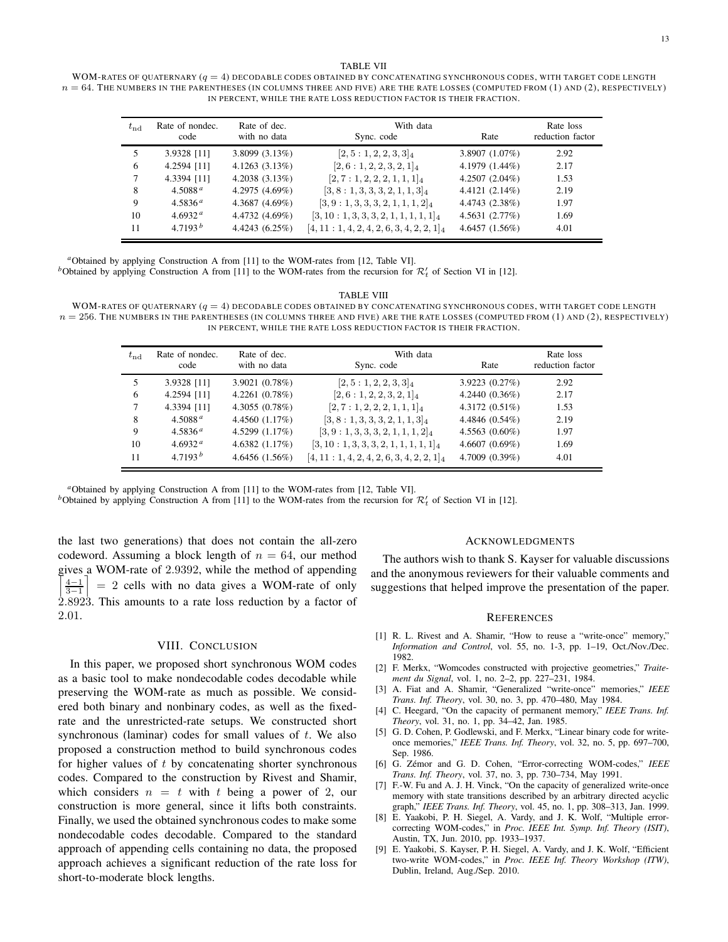## TABLE VII

WOM-RATES OF QUATERNARY  $(q = 4)$  DECODABLE CODES OBTAINED BY CONCATENATING SYNCHRONOUS CODES, WITH TARGET CODE LENGTH  $n = 64$ . The numbers in the parentheses (in columns three and five) are the rate losses (computed from (1) and (2), respectively) IN PERCENT, WHILE THE RATE LOSS REDUCTION FACTOR IS THEIR FRACTION.

| $t_{\rm nd}$ | Rate of nondec.<br>code | Rate of dec.<br>with no data | With data<br>Sync. code                      | Rate              | Rate loss<br>reduction factor |
|--------------|-------------------------|------------------------------|----------------------------------------------|-------------------|-------------------------------|
|              |                         |                              |                                              |                   |                               |
|              | 3.9328 [11]             | $3.8099(3.13\%)$             | $[2, 5: 1, 2, 2, 3, 3]_4$                    | 3.8907 (1.07%)    | 2.92                          |
| 6            | 4.2594 [11]             | $4.1263(3.13\%)$             | $[2, 6: 1, 2, 2, 3, 2, 1]_4$                 | 4.1979 (1.44%)    | 2.17                          |
| 7            | 4.3394 [11]             | $4.2038(3.13\%)$             | $[2, 7: 1, 2, 2, 2, 1, 1, 1]_4$              | 4.2507 $(2.04\%)$ | 1.53                          |
| 8            | 4.5088 $a$              | 4.2975 (4.69%)               | $[3, 8: 1, 3, 3, 3, 2, 1, 1, 3]_4$           | 4.4121 (2.14%)    | 2.19                          |
| 9            | 4.5836 $a$              | 4.3687 (4.69%)               | $[3, 9: 1, 3, 3, 3, 2, 1, 1, 1, 2]_4$        | 4.4743 (2.38%)    | 1.97                          |
| 10           | 4.6932 $a$              | 4.4732 (4.69%)               | $[3, 10: 1, 3, 3, 3, 2, 1, 1, 1, 1, 1]_4$    | 4.5631 (2.77%)    | 1.69                          |
| 11           | 4.7193 <sup>b</sup>     | 4.4243 (6.25%)               | $[4, 11: 1, 4, 2, 4, 2, 6, 3, 4, 2, 2, 1]_4$ | $4.6457(1.56\%)$  | 4.01                          |
|              |                         |                              |                                              |                   |                               |

<sup>a</sup>Obtained by applying Construction A from [11] to the WOM-rates from [12, Table VI].

*b*Obtained by applying Construction A from [11] to the WOM-rates from the recursion for  $\mathcal{R}'_t$  of Section VI in [12].

TABLE VIII

WOM-RATES OF QUATERNARY  $(q = 4)$  decodable codes obtained by concatenating synchronous codes, with target code length  $n = 256$ . The numbers in the parentheses (in columns three and five) are the rate losses (computed from (1) and (2), respectively) IN PERCENT, WHILE THE RATE LOSS REDUCTION FACTOR IS THEIR FRACTION.

| $t_{\rm nd}$ | Rate of nondec.<br>code | Rate of dec.<br>with no data | With data<br>Sync. code                      | Rate             | Rate loss<br>reduction factor |
|--------------|-------------------------|------------------------------|----------------------------------------------|------------------|-------------------------------|
|              |                         |                              |                                              |                  |                               |
|              | 3.9328 [11]             | 3.9021 (0.78%)               | $[2, 5: 1, 2, 2, 3, 3]_4$                    | 3.9223(0.27%)    | 2.92                          |
| 6            | 4.2594 [11]             | 4.2261 (0.78%)               | $[2, 6: 1, 2, 2, 3, 2, 1]_4$                 | $4.2440(0.36\%)$ | 2.17                          |
| 7            | 4.3394 [11]             | 4.3055 (0.78%)               | $[2, 7: 1, 2, 2, 2, 1, 1, 1]_4$              | 4.3172 (0.51%)   | 1.53                          |
| 8            | 4.5088 $a$              | 4.4560 (1.17%)               | $[3, 8: 1, 3, 3, 3, 2, 1, 1, 3]_4$           | 4.4846 (0.54%)   | 2.19                          |
| 9            | 4.5836 $a$              | 4.5299 (1.17%)               | $[3, 9: 1, 3, 3, 3, 2, 1, 1, 1, 2]_4$        | $4.5563(0.60\%)$ | 1.97                          |
| 10           | 4.6932 $a$              | 4.6382 $(1.17%)$             | $[3, 10: 1, 3, 3, 3, 2, 1, 1, 1, 1, 1]_4$    | $4.6607(0.69\%)$ | 1.69                          |
| 11           | 4.7193 $^b$             | 4.6456 (1.56%)               | $[4, 11: 1, 4, 2, 4, 2, 6, 3, 4, 2, 2, 1]_4$ | 4.7009 (0.39%)   | 4.01                          |

<sup>a</sup>Obtained by applying Construction A from [11] to the WOM-rates from [12, Table VI].

*b*Obtained by applying Construction A from [11] to the WOM-rates from the recursion for  $\mathcal{R}'_t$  of Section VI in [12].

the last two generations) that does not contain the all-zero codeword. Assuming a block length of  $n = 64$ , our method gives a WOM-rate of 2.9392, while the method of appending  $\left[\frac{4-1}{2}\right] = 2$  cells with no data gives a WOM-rate of only  $\left(\frac{4-1}{3-1}\right)$  = 2 cells with no data gives a WOM-rate of only 2.8923. This amounts to a rate loss reduction by a factor of 2.01.

## VIII. CONCLUSION

In this paper, we proposed short synchronous WOM codes as a basic tool to make nondecodable codes decodable while preserving the WOM-rate as much as possible. We considered both binary and nonbinary codes, as well as the fixedrate and the unrestricted-rate setups. We constructed short synchronous (laminar) codes for small values of  $t$ . We also proposed a construction method to build synchronous codes for higher values of  $t$  by concatenating shorter synchronous codes. Compared to the construction by Rivest and Shamir, which considers  $n = t$  with t being a power of 2, our construction is more general, since it lifts both constraints. Finally, we used the obtained synchronous codes to make some nondecodable codes decodable. Compared to the standard approach of appending cells containing no data, the proposed approach achieves a significant reduction of the rate loss for short-to-moderate block lengths.

#### ACKNOWLEDGMENTS

The authors wish to thank S. Kayser for valuable discussions and the anonymous reviewers for their valuable comments and suggestions that helped improve the presentation of the paper.

#### **REFERENCES**

- [1] R. L. Rivest and A. Shamir, "How to reuse a "write-once" memory," *Information and Control*, vol. 55, no. 1-3, pp. 1–19, Oct./Nov./Dec. 1982.
- [2] F. Merkx, "Womcodes constructed with projective geometries," *Traitement du Signal*, vol. 1, no. 2–2, pp. 227–231, 1984.
- [3] A. Fiat and A. Shamir, "Generalized "write-once" memories," *IEEE Trans. Inf. Theory*, vol. 30, no. 3, pp. 470–480, May 1984.
- [4] C. Heegard, "On the capacity of permanent memory," *IEEE Trans. Inf. Theory*, vol. 31, no. 1, pp. 34–42, Jan. 1985.
- [5] G. D. Cohen, P. Godlewski, and F. Merkx, "Linear binary code for writeonce memories," *IEEE Trans. Inf. Theory*, vol. 32, no. 5, pp. 697–700, Sep. 1986.
- [6] G. Z´emor and G. D. Cohen, "Error-correcting WOM-codes," *IEEE Trans. Inf. Theory*, vol. 37, no. 3, pp. 730–734, May 1991.
- [7] F.-W. Fu and A. J. H. Vinck, "On the capacity of generalized write-once memory with state transitions described by an arbitrary directed acyclic graph," *IEEE Trans. Inf. Theory*, vol. 45, no. 1, pp. 308–313, Jan. 1999.
- [8] E. Yaakobi, P. H. Siegel, A. Vardy, and J. K. Wolf, "Multiple errorcorrecting WOM-codes," in *Proc. IEEE Int. Symp. Inf. Theory (ISIT)*, Austin, TX, Jun. 2010, pp. 1933–1937.
- [9] E. Yaakobi, S. Kayser, P. H. Siegel, A. Vardy, and J. K. Wolf, "Efficient two-write WOM-codes," in *Proc. IEEE Inf. Theory Workshop (ITW)*, Dublin, Ireland, Aug./Sep. 2010.